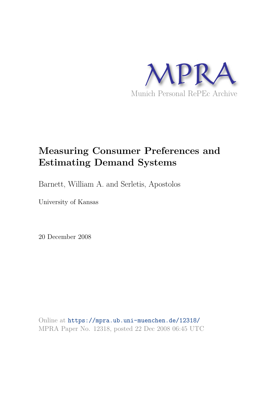

# **Measuring Consumer Preferences and Estimating Demand Systems**

Barnett, William A. and Serletis, Apostolos

University of Kansas

20 December 2008

Online at https://mpra.ub.uni-muenchen.de/12318/ MPRA Paper No. 12318, posted 22 Dec 2008 06:45 UTC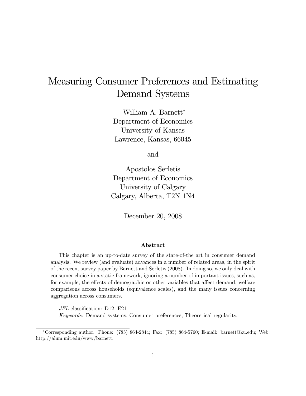# Measuring Consumer Preferences and Estimating Demand Systems

William A. Barnett Department of Economics University of Kansas Lawrence, Kansas, 66045

and

Apostolos Serletis Department of Economics University of Calgary Calgary, Alberta, T2N 1N4

December 20, 2008

#### Abstract

This chapter is an up-to-date survey of the state-of-the art in consumer demand analysis. We review (and evaluate) advances in a number of related areas, in the spirit of the recent survey paper by Barnett and Serletis (2008). In doing so, we only deal with consumer choice in a static framework, ignoring a number of important issues, such as, for example, the effects of demographic or other variables that affect demand, welfare comparisons across households (equivalence scales), and the many issues concerning aggregation across consumers.

JEL classification: D12, E21 Keywords: Demand systems, Consumer preferences, Theoretical regularity.

Corresponding author. Phone: (785) 864-2844; Fax: (785) 864-5760; E-mail: barnett@ku.edu; Web: http://alum.mit.edu/www/barnett.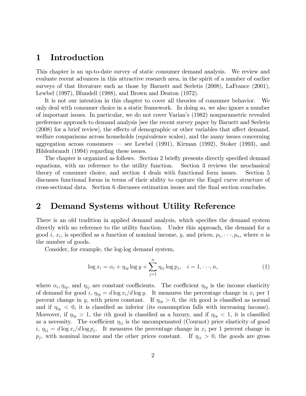# 1 Introduction

This chapter is an up-to-date survey of static consumer demand analysis. We review and evaluate recent advances in this attractive research area, in the spirit of a number of earlier surveys of that literature such as those by Barnett and Serletis (2008), LaFrance (2001), Lewbel (1997), Blundell (1988), and Brown and Deaton (1972).

It is not our intention in this chapter to cover all theories of consumer behavior. We only deal with consumer choice in a static framework. In doing so, we also ignore a number of important issues. In particular, we do not cover Varianís (1982) nonparametric revealed preference approach to demand analysis [see the recent survey paper by Barnett and Serletis  $(2008)$  for a brief review], the effects of demographic or other variables that affect demand, welfare comparisons across households (equivalence scales), and the many issues concerning aggregation across consumers  $\sim$  see Lewbel (1991), Kirman (1992), Stoker (1993), and Hildenbrandt (1994) regarding these issues.

The chapter is organized as follows. Section 2 briefly presents directly specified demand equations, with no reference to the utility function. Section 3 reviews the neoclassical theory of consumer choice, and section 4 deals with functional form issues. Section 5 discusses functional forms in terms of their ability to capture the Engel curve structure of cross-sectional data. Section 6 discusses estimation issues and the Önal section concludes.

# 2 Demand Systems without Utility Reference

There is an old tradition in applied demand analysis, which specifies the demand system directly with no reference to the utility function. Under this approach, the demand for a good *i*,  $x_i$ , is specified as a function of nominal income, *y*, and prices,  $p_1, \dots, p_n$ , where *n* is the number of goods.

Consider, for example, the log-log demand system,

$$
\log x_i = \alpha_i + \eta_{iy} \log y + \sum_{j=1}^n \eta_{ij} \log p_j, \quad i = 1, \dots, n,
$$
 (1)

where  $\alpha_i, \eta_{iy}$ , and  $\eta_{ij}$  are constant coefficients. The coefficient  $\eta_{iy}$  is the income elasticity of demand for good i,  $\eta_{iy} = d \log x_i/d \log y$ . It measures the percentage change in  $x_i$  per 1 percent change in y, with prices constant. If  $\eta_{iy} > 0$ , the *i*th good is classified as normal and if  $\eta_{iy} < 0$ , it is classified as inferior (its consumption falls with increasing income). Moreover, if  $\eta_{iy} > 1$ , the *i*th good is classified as a luxury, and if  $\eta_{iy} < 1$ , it is classified as a necessity. The coefficient  $\eta_{ij}$  is the uncompensated (Cournot) price elasticity of good  $i, \eta_{ij}=d \log x_i/d \log p_j$ . It measures the percentage change in  $x_i$  per 1 percent change in  $p_j$ , with nominal income and the other prices constant. If  $\eta_{ij} > 0$ , the goods are gross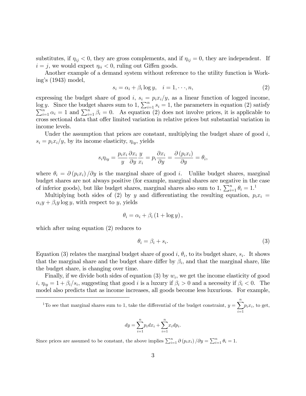substitutes, if  $\eta_{ij} < 0$ , they are gross complements, and if  $\eta_{ij} = 0$ , they are independent. If  $i = j$ , we would expect  $\eta_{ii} < 0$ , ruling out Giffen goods.

Another example of a demand system without reference to the utility function is Working's  $(1943)$  model,

$$
s_i = \alpha_i + \beta_i \log y, \quad i = 1, \dots, n,
$$
\n<sup>(2)</sup>

expressing the budget share of good i,  $s_i = p_i x_i/y$ , as a linear function of logged income, log y. Since the budget shares sum to 1,  $\sum_{i=1}^{n} s_i = 1$ , the parameters in equation (2) satisfy  $\sum_{i=1}^{n} \alpha_i = 1$  and  $\sum_{i=1}^{n} \beta_i = 0$ . As equation (2) does not involve prices, it is applicable to cross sectional data that offer limited variation in relative prices but substantial variation in income levels.

Under the assumption that prices are constant, multiplying the budget share of good  $i$ ,  $s_i = p_i x_i/y$ , by its income elasticity,  $\eta_{iy}$ , yields

$$
s_i \eta_{iy} = \frac{p_i x_i}{y} \frac{\partial x_i}{\partial y} \frac{y}{x_i} = p_i \frac{\partial x_i}{\partial y} = \frac{\partial (p_i x_i)}{\partial y} = \theta_i,
$$

where  $\theta_i = \partial (p_i x_i) / \partial y$  is the marginal share of good i. Unlike budget shares, marginal budget shares are not always positive (for example, marginal shares are negative in the case of inferior goods), but like budget shares, marginal shares also sum to 1,  $\sum_{i=1}^{n} \theta_i = 1$ .

Multiplying both sides of (2) by y and differentiating the resulting equation,  $p_i x_i =$  $\alpha_i y + \beta_i y \log y$ , with respect to y, yields

$$
\theta_i = \alpha_i + \beta_i \left( 1 + \log y \right),\,
$$

which after using equation (2) reduces to

$$
\theta_i = \beta_i + s_i. \tag{3}
$$

Equation (3) relates the marginal budget share of good i,  $\theta_i$ , to its budget share,  $s_i$ . It shows that the marginal share and the budget share differ by  $\beta_i$ , and that the marginal share, like the budget share, is changing over time.

Finally, if we divide both sides of equation (3) by  $w_i$ , we get the income elasticity of good  $i, \eta_{iy} = 1 + \beta_i / s_i$ , suggesting that good i is a luxury if  $\beta_i > 0$  and a necessity if  $\beta_i < 0$ . The model also predicts that as income increases, all goods become less luxurious. For example,

<sup>1</sup>To see that marginal shares sum to 1, take the differential of the budget constraint,  $y = \sum_{n=1}^{n}$  $i=1$  $p_i x_i$ , to get,

$$
dy = \sum_{i=1}^{n} p_i dx_i + \sum_{i=1}^{n} x_i dp_i.
$$

Since prices are assumed to be constant, the above implies  $\sum_{i=1}^{n} \partial (p_i x_i) / \partial y = \sum_{i=1}^{n} \theta_i = 1$ .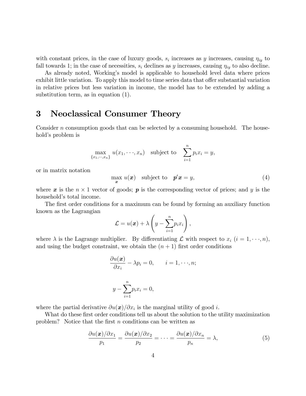with constant prices, in the case of luxury goods,  $s_i$  increases as y increases, causing  $\eta_{iy}$  to fall towards 1; in the case of necessities,  $s_i$  declines as y increases, causing  $\eta_{iy}$  to also decline.

As already noted, Workingís model is applicable to household level data where prices exhibit little variation. To apply this model to time series data that offer substantial variation in relative prices but less variation in income, the model has to be extended by adding a substitution term, as in equation (1).

# 3 Neoclassical Consumer Theory

Consider n consumption goods that can be selected by a consuming household. The household's problem is

$$
\max_{\{x_1,\cdots,x_n\}} u(x_1,\cdots,x_n) \quad \text{subject to} \quad \sum_{i=1}^n p_i x_i = y,
$$

or in matrix notation

 $\max_{\mathbf{x}} u(\mathbf{x})$  subject to  $\mathbf{p}'\mathbf{x} = y$ , (4)

where  $\boldsymbol{x}$  is the  $n \times 1$  vector of goods;  $\boldsymbol{p}$  is the corresponding vector of prices; and  $y$  is the household's total income.

The first order conditions for a maximum can be found by forming an auxiliary function known as the Lagrangian

$$
\mathcal{L} = u(\boldsymbol{x}) + \lambda \left(y - \sum_{i=1}^n p_i x_i\right),
$$

where  $\lambda$  is the Lagrange multiplier. By differentiating  $\mathcal L$  with respect to  $x_i$   $(i = 1, \dots, n)$ , and using the budget constraint, we obtain the  $(n + 1)$  first order conditions

$$
\frac{\partial u(\boldsymbol{x})}{\partial x_i} - \lambda p_i = 0, \qquad i = 1, \dots, n;
$$
  

$$
y - \sum_{i=1}^n p_i x_i = 0,
$$

where the partial derivative  $\partial u(\boldsymbol{x})/\partial x_i$  is the marginal utility of good *i*.

What do these first order conditions tell us about the solution to the utility maximization problem? Notice that the first  $n$  conditions can be written as

$$
\frac{\partial u(\boldsymbol{x})/\partial x_1}{p_1} = \frac{\partial u(\boldsymbol{x})/\partial x_2}{p_2} = \dots = \frac{\partial u(\boldsymbol{x})/\partial x_n}{p_n} = \lambda,
$$
\n(5)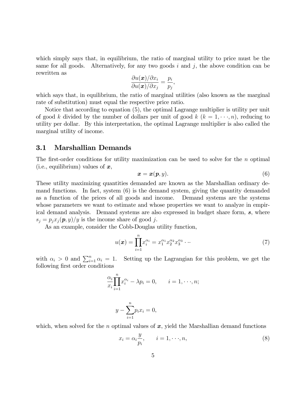which simply says that, in equilibrium, the ratio of marginal utility to price must be the same for all goods. Alternatively, for any two goods  $i$  and  $j$ , the above condition can be rewritten as

$$
\frac{\partial u(\boldsymbol{x})/\partial x_i}{\partial u(\boldsymbol{x})/\partial x_j} = \frac{p_i}{p_j},
$$

which says that, in equilibrium, the ratio of marginal utilities (also known as the marginal rate of substitution) must equal the respective price ratio.

Notice that according to equation (5), the optimal Lagrange multiplier is utility per unit of good k divided by the number of dollars per unit of good k  $(k = 1, \dots, n)$ , reducing to utility per dollar. By this interpretation, the optimal Lagrange multiplier is also called the marginal utility of income.

### 3.1 Marshallian Demands

The first-order conditions for utility maximization can be used to solve for the  $n$  optimal (i.e., equilibrium) values of  $x$ ,

$$
\boldsymbol{x} = \boldsymbol{x}(\boldsymbol{p}, y). \tag{6}
$$

These utility maximizing quantities demanded are known as the Marshallian ordinary demand functions. In fact, system (6) is the demand system, giving the quantity demanded as a function of the prices of all goods and income. Demand systems are the systems whose parameters we want to estimate and whose properties we want to analyze in empirical demand analysis. Demand systems are also expressed in budget share form, s, where  $s_j = p_j x_j(p, y)/y$  is the income share of good j.

As an example, consider the Cobb-Douglas utility function,

$$
u(\boldsymbol{x}) = \prod_{i=1}^{n} x_i^{\alpha_i} = x_1^{\alpha_1} x_2^{\alpha_2} x_3^{\alpha_3} \cdots
$$
 (7)

with  $\alpha_i > 0$  and  $\sum_{i=1}^n \alpha_i = 1$ . Setting up the Lagrangian for this problem, we get the following first order conditions

$$
\frac{\alpha_i}{x_i} \prod_{i=1}^n x_i^{\alpha_i} - \lambda p_i = 0, \qquad i = 1, \dots, n;
$$

$$
y - \sum_{i=1}^{n} p_i x_i = 0,
$$

which, when solved for the n optimal values of  $x$ , yield the Marshallian demand functions

$$
x_i = \alpha_i \frac{y}{p_i}, \qquad i = 1, \dots, n,
$$
\n(8)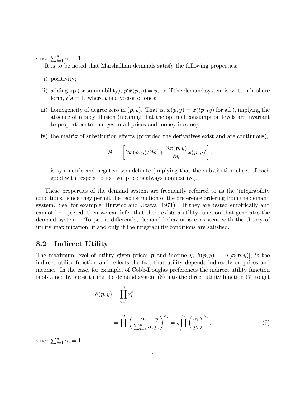since  $\sum_{i=1}^{n} \alpha_i = 1$ .

It is to be noted that Marshallian demands satisfy the following properties:

- i) positivity;
- ii) adding up (or summability),  $p'x(p, y) = y$ , or, if the demand system is written in share form,  $\iota's = 1$ , where  $\iota$  is a vector of ones;
- iii) homogeneity of degree zero in  $(p, y)$ . That is,  $x(p, y) = x(tp, ty)$  for all t, implying the absence of money illusion (meaning that the optimal consumption levels are invariant to proportionate changes in all prices and money income);
- iv) the matrix of substitution effects (provided the derivatives exist and are continuous),

$$
\boldsymbol{S} ~= \left[\partial \boldsymbol{x}(\boldsymbol{p},y)/\partial \boldsymbol{p}'+\frac{\partial \boldsymbol{x}(\boldsymbol{p},y)}{\partial y}\boldsymbol{x}(\boldsymbol{p},y)'\right],
$$

is symmetric and negative semidefinite (implying that the substitution effect of each good with respect to its own price is always nonpositive).

These properties of the demand system are frequently referred to as the 'integrability conditions, since they permit the reconstruction of the preference ordering from the demand system. See, for example, Hurwicz and Uzawa (1971). If they are tested empirically and cannot be rejected, then we can infer that there exists a utility function that generates the demand system. To put it differently, demand behavior is consistent with the theory of utility maximization, if and only if the integrability conditions are satisfied.

## 3.2 Indirect Utility

The maximum level of utility given prices **p** and income y,  $h(\mathbf{p}, y) = u[\mathbf{x}(\mathbf{p}, y)]$ , is the indirect utility function and reflects the fact that utility depends indirectly on prices and income. In the case, for example, of Cobb-Douglas preferences the indirect utility function is obtained by substituting the demand system (8) into the direct utility function (7) to get

$$
h(\mathbf{p}, y) = \prod_{i=1}^{n} x_i^{\alpha_i}
$$
  
= 
$$
\prod_{i=1}^{n} \left( \frac{\alpha_i}{\sum_{i=1}^{n} \alpha_i} \frac{y}{p_i} \right)^{\alpha_i} = y \prod_{i=1}^{n} \left( \frac{\alpha_i}{p_i} \right)^{\alpha_i},
$$
 (9)

since  $\sum_{i=1}^{n} \alpha_i = 1$ .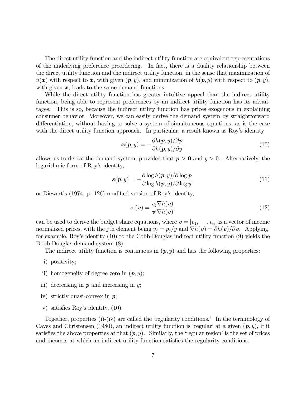The direct utility function and the indirect utility function are equivalent representations of the underlying preference preordering. In fact, there is a duality relationship between the direct utility function and the indirect utility function, in the sense that maximization of  $u(x)$  with respect to x, with given  $(p, y)$ , and minimization of  $h(p, y)$  with respect to  $(p, y)$ , with given  $x$ , leads to the same demand functions.

While the direct utility function has greater intuitive appeal than the indirect utility function, being able to represent preferences by an indirect utility function has its advantages. This is so, because the indirect utility function has prices exogenous in explaining consumer behavior. Moreover, we can easily derive the demand system by straightforward differentiation, without having to solve a system of simultaneous equations, as is the case with the direct utility function approach. In particular, a result known as Roy's identity

$$
\boldsymbol{x}(\boldsymbol{p}, y) = -\frac{\partial h(\boldsymbol{p}, y)}{\partial h(\boldsymbol{p}, y)/\partial y},\tag{10}
$$

allows us to derive the demand system, provided that  $p > 0$  and  $y > 0$ . Alternatively, the logarithmic form of Roy's identity,

$$
s(p, y) = -\frac{\partial \log h(p, y)/\partial \log p}{\partial \log h(p, y)/\partial \log y},
$$
\n(11)

or Diewert's (1974, p. 126) modified version of Roy's identity,

$$
s_j(\boldsymbol{v}) = \frac{v_j \nabla h(\boldsymbol{v})}{\boldsymbol{v}' \nabla h(\boldsymbol{v})},\tag{12}
$$

can be used to derive the budget share equations, where  $\mathbf{v} = [v_1, \dots, v_n]$  is a vector of income normalized prices, with the jth element being  $v_j = p_j/y$  and  $\nabla h(\mathbf{v}) = \partial h(\mathbf{v})/\partial \mathbf{v}$ . Applying, for example, Roy's identity (10) to the Cobb-Douglas indirect utility function (9) yields the Dobb-Douglas demand system (8).

The indirect utility function is continuous in  $(p, y)$  and has the following properties:

- i) positivity;
- ii) homogeneity of degree zero in  $(p, y)$ ;
- iii) decreasing in  $p$  and increasing in  $y$ ;
- iv) strictly quasi-convex in  $p$ ;
- v) satisfies Roy's identity,  $(10)$ .

Together, properties (i)-(iv) are called the 'regularity conditions.' In the terminology of Caves and Christensen (1980), an indirect utility function is 'regular' at a given  $(p, y)$ , if it satisfies the above properties at that  $(p, y)$ . Similarly, the 'regular region' is the set of prices and incomes at which an indirect utility function satisfies the regularity conditions.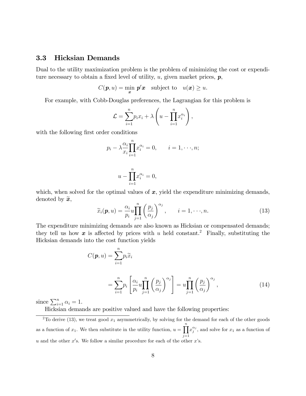## 3.3 Hicksian Demands

Dual to the utility maximization problem is the problem of minimizing the cost or expenditure necessary to obtain a fixed level of utility,  $u$ , given market prices,  $p$ ,

$$
C(\boldsymbol{p},u)=\min_{\boldsymbol{x}} \; \boldsymbol{p}'\boldsymbol{x} \quad \text{subject to} \quad u(\boldsymbol{x})\geq u.
$$

For example, with Cobb-Douglas preferences, the Lagrangian for this problem is

$$
\mathcal{L} = \sum_{i=1}^n p_i x_i + \lambda \left( u - \prod_{i=1}^n x_i^{\alpha_i} \right),
$$

with the following first order conditions

$$
p_i - \lambda \frac{\alpha_i}{x_i} \prod_{i=1}^n x_i^{\alpha_i} = 0, \qquad i = 1, \dots, n;
$$

$$
u - \prod_{i=1}^{n} x_i^{\alpha_i} = 0,
$$

which, when solved for the optimal values of  $x$ , yield the expenditure minimizing demands, denoted by  $\widetilde{\mathbf{x}}$ ,

$$
\widetilde{x}_i(\boldsymbol{p}, u) = \frac{\alpha_i}{p_i} u \prod_{j=1}^n \left(\frac{p_j}{\alpha_j}\right)^{\alpha_j}, \qquad i = 1, \dots, n. \tag{13}
$$

The expenditure minimizing demands are also known as Hicksian or compensated demands; they tell us how  $x$  is affected by prices with u held constant.<sup>2</sup> Finally, substituting the Hicksian demands into the cost function yields

$$
C(\boldsymbol{p}, u) = \sum_{i=1}^{n} p_i \tilde{x}_i
$$
  
= 
$$
\sum_{i=1}^{n} p_i \left[ \frac{\alpha_i}{p_i} u \prod_{j=1}^{n} \left( \frac{p_j}{\alpha_j} \right)^{\alpha_j} \right] = u \prod_{j=1}^{n} \left( \frac{p_j}{\alpha_j} \right)^{\alpha_j},
$$
 (14)

since  $\sum_{i=1}^{n} \alpha_i = 1$ .

Hicksian demands are positive valued and have the following properties:

<sup>&</sup>lt;sup>2</sup>To derive (13), we treat good  $x_1$  asymmetrically, by solving for the demand for each of the other goods as a function of  $x_1$ . We then substitute in the utility function,  $u = \prod^n$  $j=1$  $x_j^{\alpha_j}$ , and solve for  $x_1$  as a function of u and the other  $x$ 's. We follow a similar procedure for each of the other  $x$ 's.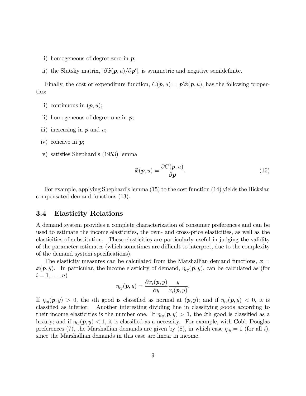- i) homogeneous of degree zero in  $p$ ;
- ii) the Slutsky matrix,  $[\partial \tilde{\mathbf{x}}(\mathbf{p}, u)/\partial \mathbf{p}']$ , is symmetric and negative semidefinite.

Finally, the cost or expenditure function,  $C(\mathbf{p}, u) = \mathbf{p}'\tilde{\mathbf{x}}(\mathbf{p}, u)$ , has the following properties:

- i) continuous in  $(p, u)$ ;
- ii) homogeneous of degree one in  $p$ ;
- iii) increasing in  $p$  and  $u$ ;
- iv) concave in  $p$ ;
- v) satisfies Shephard's (1953) lemma

$$
\widetilde{\boldsymbol{x}}(\boldsymbol{p},u)=\frac{\partial C(\boldsymbol{p},u)}{\partial \boldsymbol{p}}.
$$
\n(15)

For example, applying Shephard's lemma  $(15)$  to the cost function  $(14)$  yields the Hicksian compensated demand functions (13).

### 3.4 Elasticity Relations

A demand system provides a complete characterization of consumer preferences and can be used to estimate the income elasticities, the own- and cross-price elasticities, as well as the elasticities of substitution. These elasticities are particularly useful in judging the validity of the parameter estimates (which sometimes are difficult to interpret, due to the complexity of the demand system specifications).

The elasticity measures can be calculated from the Marshallian demand functions,  $x =$  $\mathbf{x}(\mathbf{p}, y)$ . In particular, the income elasticity of demand,  $\eta_{iy}(\mathbf{p}, y)$ , can be calculated as (for  $i=1,\ldots,n$ 

$$
\eta_{iy}(\bm{p},y) = \frac{\partial x_i(\bm{p},y)}{\partial y} \frac{y}{x_i(\bm{p},y)}.
$$

If  $\eta_{iy}(\mathbf{p}, y) > 0$ , the ith good is classified as normal at  $(\mathbf{p}, y)$ ; and if  $\eta_{iy}(\mathbf{p}, y) < 0$ , it is classified as inferior. Another interesting dividing line in classifying goods according to their income elasticities is the number one. If  $\eta_{i\eta}(\mathbf{p}, y) > 1$ , the *i*th good is classified as a luxury; and if  $\eta_{iy}(\mathbf{p}, y) < 1$ , it is classified as a necessity. For example, with Cobb-Douglas preferences (7), the Marshallian demands are given by (8), in which case  $\eta_{iy} = 1$  (for all i), since the Marshallian demands in this case are linear in income.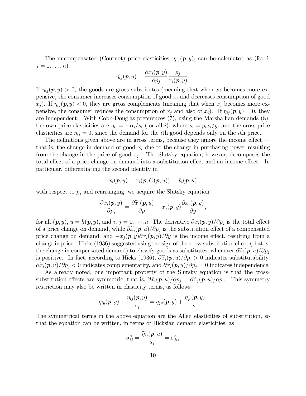The uncompensated (Cournot) price elasticities,  $\eta_{ij}(\mathbf{p}, y)$ , can be calculated as (for i,  $j=1,\ldots,n$ 

$$
\eta_{ij}(\bm{p},y) = \frac{\partial x_i(\bm{p},y)}{\partial p_j} \frac{p_j}{x_i(\bm{p},y)}.
$$

If  $\eta_{ij}(\mathbf{p}, y) > 0$ , the goods are gross substitutes (meaning that when  $x_j$  becomes more expensive, the consumer increases consumption of good  $x_i$  and decreases consumption of good  $x_j$ ). If  $\eta_{ij}(\mathbf{p}, y) < 0$ , they are gross complements (meaning that when  $x_j$  becomes more expensive, the consumer reduces the consumption of  $x_j$  and also of  $x_i$ ). If  $\eta_{ij}(\mathbf{p}, y) = 0$ , they are independent. With Cobb-Douglas preferences (7), using the Marshallian demands (8), the own-price elasticities are  $\eta_{ii} = -\alpha_i / s_i$  (for all i), where  $s_i = p_i x_i / y$ , and the cross-price elasticities are  $\eta_{ij} = 0$ , since the demand for the *i*th good depends only on the *i*th price.

The definitions given above are in gross terms, because they ignore the income effect  $\overline{\phantom{a}}$ that is, the change in demand of good  $x_i$  due to the change in purchasing power resulting from the change in the price of good  $x_j$ . The Slutsky equation, however, decomposes the total effect of a price change on demand into a substitution effect and an income effect. In particular, differentiating the second identity in

$$
x_i(\boldsymbol{p},y)=x_i(\boldsymbol{p},C(\boldsymbol{p},u))=\widetilde{x}_i(\boldsymbol{p},u)
$$

with respect to  $p_j$  and rearranging, we acquire the Slutsky equation

$$
\frac{\partial x_i(\boldsymbol{p},y)}{\partial p_j} = \frac{\partial \widetilde{x}_i(\boldsymbol{p},u)}{\partial p_j} - x_j(\boldsymbol{p},y) \frac{\partial x_i(\boldsymbol{p},y)}{\partial y},
$$

for all  $(p, y)$ ,  $u = h(p, y)$ , and  $i, j = 1, \dots, n$ . The derivative  $\partial x_i(p, y)/\partial p_j$  is the total effect of a price change on demand, while  $\partial \widetilde{x}_i(\boldsymbol{p}, u)/\partial p_j$  is the substitution effect of a compensated price change on demand, and  $-x_i(\mathbf{p}, y)\partial x_i(\mathbf{p}, y)/\partial y$  is the income effect, resulting from a change in price. Hicks  $(1936)$  suggested using the sign of the cross-substitution effect (that is, the change in compensated demand) to classify goods as substitutes, whenever  $\partial \tilde{x}_i(\mathbf{p}, u)/\partial p_j$ is positive. In fact, according to Hicks (1936),  $\partial \tilde{x}_i(\mathbf{p}, u)/\partial p_j > 0$  indicates substitutability,  $\partial \tilde{x}_i(\mathbf{p}, u)/\partial p_j < 0$  indicates complementarity, and  $\partial \tilde{x}_i(\mathbf{p}, u)/\partial p_j = 0$  indicates independence.

As already noted, one important property of the Slutsky equation is that the crosssubstitution effects are symmetric; that is,  $\partial \tilde{x}_i(\mathbf{p}, u)/\partial p_j = \partial \tilde{x}_j(\mathbf{p}, u)/\partial p_i$ . This symmetry restriction may also be written in elasticity terms, as follows

$$
\eta_{iy}(\boldsymbol{p},y)+\frac{\eta_{ij}(\boldsymbol{p},y)}{s_j}=\eta_{jy}(\boldsymbol{p},y)+\frac{\eta_{ji}(\boldsymbol{p},y)}{s_i}.
$$

The symmetrical terms in the above equation are the Allen elasticities of substitution, so that the equation can be written, in terms of Hicksian demand elasticities, as

$$
\sigma_{ij}^a = \frac{\widetilde{\eta}_{ij}(\bm{p},u)}{s_j} = \sigma_{ji}^a,
$$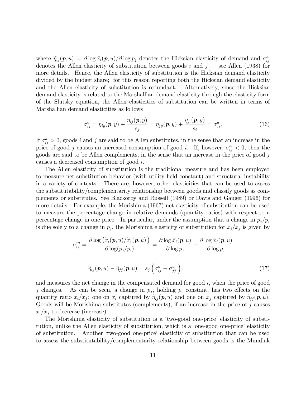where  $\widetilde{\eta}_{ij}(\boldsymbol{p}, u) = \partial \log \widetilde{x}_i(\boldsymbol{p}, u)/\partial \log p_j$  denotes the Hicksian elasticity of demand and  $\sigma_{ij}^a$ denotes the Allen elasticity of substitution between goods i and  $j$  – see Allen (1938) for more details. Hence, the Allen elasticity of substitution is the Hicksian demand elasticity divided by the budget share; for this reason reporting both the Hicksian demand elasticity and the Allen elasticity of substitution is redundant. Alternatively, since the Hicksian demand elasticity is related to the Marshallian demand elasticity through the elasticity form of the Slutsky equation, the Allen elasticities of substitution can be written in terms of Marshallian demand elasticities as follows

$$
\sigma_{ij}^a = \eta_{iy}(\boldsymbol{p}, y) + \frac{\eta_{ij}(\boldsymbol{p}, y)}{s_j} = \eta_{jy}(\boldsymbol{p}, y) + \frac{\eta_{ji}(\boldsymbol{p}, y)}{s_i} = \sigma_{ji}^a.
$$
 (16)

If  $\sigma_{ij}^a > 0$ , goods i and j are said to be Allen substitutes, in the sense that an increase in the price of good j causes an increased consumption of good i. If, however,  $\sigma_{ij}^a < 0$ , then the goods are said to be Allen complements, in the sense that an increase in the price of good  $j$ causes a decreased consumption of good i.

The Allen elasticity of substitution is the traditional measure and has been employed to measure net substitution behavior (with utility held constant) and structural instability in a variety of contexts. There are, however, other elasticities that can be used to assess the substitutability/complementarity relationship between goods and classify goods as complements or substitutes. See Blackorby and Russell (1989) or Davis and Gauger (1996) for more details. For example, the Morishima (1967) net elasticity of substitution can be used to measure the percentage change in relative demands (quantity ratios) with respect to a percentage change in one price. In particular, under the assumption that a change in  $p_j/p_i$ is due solely to a change in  $p_j$ , the Morishima elasticity of substitution for  $x_i/x_j$  is given by

$$
\sigma_{ij}^{m} = \frac{\partial \log \left( \widetilde{x}_i(\boldsymbol{p}, u) / \widetilde{x}_j(\boldsymbol{p}, u) \right)}{\partial \log(p_j / p_i)} = \frac{\partial \log \widetilde{x}_i(\boldsymbol{p}, u)}{\partial \log p_j} - \frac{\partial \log \widetilde{x}_j(\boldsymbol{p}, u)}{\partial \log p_j}
$$

$$
= \widetilde{\eta}_{ij}(\boldsymbol{p}, u) - \widetilde{\eta}_{jj}(\boldsymbol{p}, u) = s_j \left( \sigma_{ij}^a - \sigma_{jj}^a \right), \qquad (17)
$$

and measures the net change in the compensated demand for good  $i$ , when the price of good j changes. As can be seen, a change in  $p_j$ , holding  $p_i$  constant, has two effects on the quantity ratio  $x_i/x_j$ : one on  $x_i$  captured by  $\widetilde{\eta}_{ij}(\mathbf{p}, u)$  and one on  $x_j$  captured by  $\widetilde{\eta}_{jj}(\mathbf{p}, u)$ . Goods will be Morishima substitutes (complements), if an increase in the price of  $j$  causes  $x_i/x_i$  to decrease (increase).

The Morishima elasticity of substitution is a 'two-good one-price' elasticity of substitution, unlike the Allen elasticity of substitution, which is a 'one-good one-price' elasticity of substitution. Another ëtwo-good one-priceí elasticity of substitution that can be used to assess the substitutability/complementarity relationship between goods is the Mundlak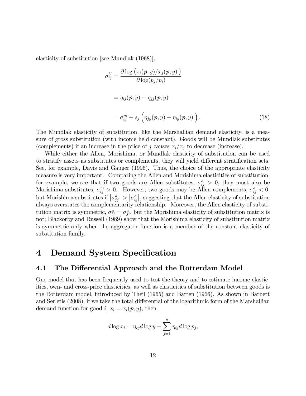elasticity of substitution [see Mundlak (1968)],

$$
\sigma_{ij}^U = \frac{\partial \log (x_i(\mathbf{p}, y)/x_j(\mathbf{p}, y))}{\partial \log (p_j/p_i)}
$$
  
=  $\eta_{ij}(\mathbf{p}, y) - \eta_{jj}(\mathbf{p}, y)$   
=  $\sigma_{ij}^m + s_j \left( \eta_{jy}(\mathbf{p}, y) - \eta_{iy}(\mathbf{p}, y) \right)$ . (18)

The Mundlak elasticity of substitution, like the Marshallian demand elasticity, is a measure of gross substitution (with income held constant). Goods will be Mundlak substitutes (complements) if an increase in the price of j causes  $x_i/x_j$  to decrease (increase).

While either the Allen, Morishima, or Mundlak elasticity of substitution can be used to stratify assets as substitutes or complements, they will yield different stratification sets. See, for example, Davis and Gauger (1996). Thus, the choice of the appropriate elasticity measure is very important. Comparing the Allen and Morishima elasticities of substitution, for example, we see that if two goods are Allen substitutes,  $\sigma_{ij}^a > 0$ , they must also be Morishima substitutes,  $\sigma_{ij}^m > 0$ . However, two goods may be Allen complements,  $\sigma_{ij}^a < 0$ , but Morishima substitutes if  $|\sigma_{jj}^a| > |\sigma_{ij}^a|$ , suggesting that the Allen elasticity of substitution always overstates the complementarity relationship. Moreover, the Allen elasticity of substitution matrix is symmetric,  $\sigma_{ij}^a = \sigma_{ji}^a$ , but the Morishima elasticity of substitution matrix is not; Blackorby and Russell (1989) show that the Morishima elasticity of substitution matrix is symmetric only when the aggregator function is a member of the constant elasticity of substitution family.

# 4 Demand System Specification

## 4.1 The Differential Approach and the Rotterdam Model

One model that has been frequently used to test the theory and to estimate income elasticities, own- and cross-price elasticities, as well as elasticities of substitution between goods is the Rotterdam model, introduced by Theil (1965) and Barten (1966). As shown in Barnett and Serletis (2008), if we take the total differential of the logarithmic form of the Marshallian demand function for good i,  $x_i = x_i(\mathbf{p}, y)$ , then

$$
d \log x_i = \eta_{iy} d \log y + \sum_{j=1}^n \eta_{ij} d \log p_j,
$$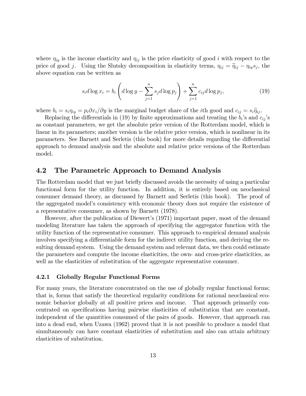where  $\eta_{iy}$  is the income elasticity and  $\eta_{ij}$  is the price elasticity of good i with respect to the price of good j. Using the Slutsky decomposition in elasticity terms,  $\eta_{ij} = \tilde{\eta}_{ij} - \eta_{ij} s_j$ , the above equation can be written as

$$
s_i d \log x_i = b_i \left( d \log y - \sum_{j=1}^n s_j d \log p_j \right) + \sum_{j=1}^n c_{ij} d \log p_j, \tag{19}
$$

where  $b_i = s_i \eta_{iy} = p_i \partial x_i / \partial y$  is the marginal budget share of the *i*th good and  $c_{ij} = s_i \tilde{\eta}_{ij}$ .

Replacing the differentials in (19) by finite approximations and treating the  $b_i$ 's and  $c_{ij}$ 's as constant parameters, we get the absolute price version of the Rotterdam model, which is linear in its parameters; another version is the relative price version, which is nonlinear in its parameters. See Barnett and Serletis (this book) for more details regarding the differential approach to demand analysis and the absolute and relative price versions of the Rotterdam model.

## 4.2 The Parametric Approach to Demand Analysis

The Rotterdam model that we just briefly discussed avoids the necessity of using a particular functional form for the utility function. In addition, it is entirely based on neoclassical consumer demand theory, as discussed by Barnett and Serletis (this book). The proof of the aggregated modelís consistency with economic theory does not require the existence of a representative consumer, as shown by Barnett (1978).

However, after the publication of Diewert's (1971) important paper, most of the demand modeling literature has taken the approach of specifying the aggregator function with the utility function of the representative consumer. This approach to empirical demand analysis involves specifying a differentiable form for the indirect utility function, and deriving the resulting demand system. Using the demand system and relevant data, we then could estimate the parameters and compute the income elasticities, the own- and cross-price elasticities, as well as the elasticities of substitution of the aggregate representative consumer.

#### 4.2.1 Globally Regular Functional Forms

For many years, the literature concentrated on the use of globally regular functional forms; that is, forms that satisfy the theoretical regularity conditions for rational neoclassical economic behavior globally at all positive prices and income. That approach primarily concentrated on specifications having pairwise elasticities of substitution that are constant, independent of the quantities consumed of the pairs of goods. However, that approach ran into a dead end, when Uzawa (1962) proved that it is not possible to produce a model that simultaneously can have constant elasticities of substitution and also can attain arbitrary elasticities of substitution.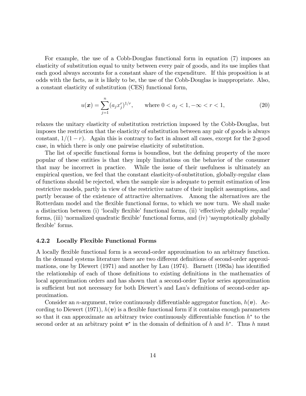For example, the use of a Cobb-Douglas functional form in equation (7) imposes an elasticity of substitution equal to unity between every pair of goods, and its use implies that each good always accounts for a constant share of the expenditure. If this proposition is at odds with the facts, as it is likely to be, the use of the Cobb-Douglas is inappropriate. Also, a constant elasticity of substitution (CES) functional form,

$$
u(\boldsymbol{x}) = \sum_{j=1}^{n} (a_j x_j^r)^{1/r}, \qquad \text{where } 0 < a_j < 1, -\infty < r < 1,\tag{20}
$$

relaxes the unitary elasticity of substitution restriction imposed by the Cobb-Douglas, but imposes the restriction that the elasticity of substitution between any pair of goods is always constant,  $1/(1 - r)$ . Again this is contrary to fact in almost all cases, except for the 2-good case, in which there is only one pairwise elasticity of substitution.

The list of specific functional forms is boundless, but the defining property of the more popular of these entities is that they imply limitations on the behavior of the consumer that may be incorrect in practice. While the issue of their usefulness is ultimately an empirical question, we feel that the constant elasticity-of-substitution, globally-regular class of functions should be rejected, when the sample size is adequate to permit estimation of less restrictive models, partly in view of the restrictive nature of their implicit assumptions, and partly because of the existence of attractive alternatives. Among the alternatives are the Rotterdam model and the flexible functional forms, to which we now turn. We shall make a distinction between (i) 'locally flexible' functional forms, (ii) 'effectively globally regular' forms, (iii) 'normalized quadratic flexible' functional forms, and (iv) 'asymptotically globally flexible' forms.

#### 4.2.2 Locally Flexible Functional Forms

A locally flexible functional form is a second-order approximation to an arbitrary function. In the demand systems literature there are two different definitions of second-order approximations, one by Diewert  $(1971)$  and another by Lau  $(1974)$ . Barnett  $(1983a)$  has identified the relationship of each of those definitions to existing definitions in the mathematics of local approximation orders and has shown that a second-order Taylor series approximation is sufficient but not necessary for both Diewert's and Lau's definitions of second-order approximation.

Consider an *n*-argument, twice continuously differentiable aggregator function,  $h(\boldsymbol{v})$ . According to Diewert (1971),  $h(\boldsymbol{v})$  is a flexible functional form if it contains enough parameters so that it can approximate an arbitrary twice continuously differentiable function  $h^*$  to the second order at an arbitrary point  $v^*$  in the domain of definition of h and  $h^*$ . Thus h must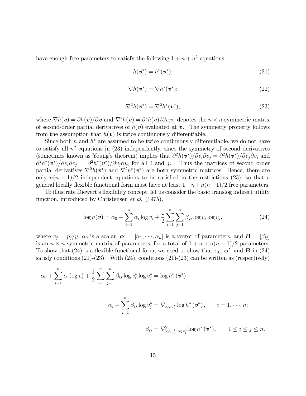have enough free parameters to satisfy the following  $1 + n + n^2$  equations

$$
h(\boldsymbol{v}^*) = h^*(\boldsymbol{v}^*); \tag{21}
$$

$$
\nabla h(\boldsymbol{v}^*) = \nabla h^*(\boldsymbol{v}^*); \tag{22}
$$

$$
\nabla^2 h(\boldsymbol{v}^*) = \nabla^2 h^*(\boldsymbol{v}^*),\tag{23}
$$

where  $\nabla h(v) = \partial h(v)/\partial v$  and  $\nabla^2 h(v) = \partial^2 h(v)/\partial v_i v_j$  denotes the  $n \times n$  symmetric matrix of second-order partial derivatives of  $h(v)$  evaluated at v. The symmetry property follows from the assumption that  $h(v)$  is twice continuously differentiable.

Since both  $h$  and  $h^*$  are assumed to be twice continuously differentiable, we do not have to satisfy all  $n^2$  equations in  $(23)$  independently, since the symmetry of second derivatives (sometimes known as Young's theorem) implies that  $\partial^2 h(v^*)/\partial v_i \partial v_j = \partial^2 h(v^*)/\partial v_j \partial v_i$  and  $\partial^2 h^*(v^*)/\partial v_i \partial v_j = \partial^2 h^*(v^*)/\partial v_j \partial v_i$  for all i and j. Thus the matrices of second order partial derivatives  $\nabla^2 h(\mathbf{v}^*)$  and  $\nabla^2 h^*(\mathbf{v}^*)$  are both symmetric matrices. Hence, there are only  $n(n + 1)/2$  independent equations to be satisfied in the restrictions (23), so that a general locally flexible functional form must have at least  $1 + n + n(n + 1)/2$  free parameters.

To illustrate Diewert's flexibility concept, let us consider the basic translog indirect utility function, introduced by Christensen *et al.* (1975),

$$
\log h(\mathbf{v}) = \alpha_0 + \sum_{i=1}^n \alpha_i \log v_i + \frac{1}{2} \sum_{i=1}^n \sum_{j=1}^n \beta_{ji} \log v_i \log v_j, \tag{24}
$$

where  $v_j = p_j/y$ ,  $\alpha_0$  is a scalar,  $\boldsymbol{\alpha}' = [\alpha_1, \dots, \alpha_n]$  is a vector of parameters, and  $\boldsymbol{B} = [\beta_{ij}]$ is an  $n \times n$  symmetric matrix of parameters, for a total of  $1 + n + n(n + 1)/2$  parameters. To show that (24) is a flexible functional form, we need to show that  $\alpha_0, \alpha'$ , and **B** in (24) satisfy conditions  $(21)-(23)$ . With  $(24)$ , conditions  $(21)-(23)$  can be written as (respectively)

$$
\alpha_0 + \sum_{i=1}^n \alpha_i \log v_i^* + \frac{1}{2} \sum_{i=1}^n \sum_{j=1}^n \beta_{ij} \log v_i^* \log v_j^* = \log h^* (\boldsymbol{v}^*);
$$

$$
\alpha_i + \sum_{j=1}^n \beta_{ij} \log v_j^* = \nabla_{\log v_i^*} \log h^*(v^*), \qquad i = 1, \cdot \cdot \cdot, n;
$$

$$
\beta_{ij} = \nabla^2_{\log v_i^* \log v_j^*} \log h^*(v^*), \qquad 1 \le i \le j \le n.
$$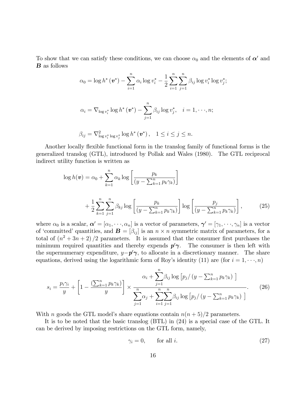To show that we can satisfy these conditions, we can choose  $\alpha_0$  and the elements of  $\alpha'$  and B as follows

$$
\alpha_0 = \log h^* (\mathbf{v}^*) - \sum_{i=1}^n \alpha_i \log v_i^* - \frac{1}{2} \sum_{i=1}^n \sum_{j=1}^n \beta_{ij} \log v_i^* \log v_j^*;
$$
  

$$
\alpha_i = \nabla_{\log v_i^*} \log h^* (\mathbf{v}^*) - \sum_{j=1}^n \beta_{ij} \log v_j^*, \quad i = 1, \dots, n;
$$
  

$$
\beta_{ij} = \nabla_{\log v_i^* \log v_j^*}^2 \log h^* (\mathbf{v}^*), \quad 1 \le i \le j \le n.
$$

Another locally flexible functional form in the translog family of functional forms is the generalized translog (GTL), introduced by Pollak and Wales (1980). The GTL reciprocal indirect utility function is written as

$$
\log h(\mathbf{v}) = \alpha_0 + \sum_{k=1}^n \alpha_k \log \left[ \frac{p_k}{(y - \sum_{k=1}^n p_k \gamma_k)} \right]
$$
  
+ 
$$
\frac{1}{2} \sum_{k=1}^n \sum_{j=1}^n \beta_{kj} \log \left[ \frac{p_k}{(y - \sum_{k=1}^n p_k \gamma_k)} \right] \log \left[ \frac{p_j}{(y - \sum_{k=1}^n p_k \gamma_k)} \right],
$$
 (25)

where  $\alpha_0$  is a scalar,  $\boldsymbol{\alpha}' = [\alpha_1, \dots, \alpha_n]$  is a vector of parameters,  $\boldsymbol{\gamma}' = [\gamma_1, \dots, \gamma_n]$  is a vector of 'committed' quantities, and  $\mathbf{B} = [\beta_{ij}]$  is an  $n \times n$  symmetric matrix of parameters, for a total of  $(n^2+3n+2)/2$  parameters. It is assumed that the consumer first purchases the minimum required quantities and thereby expends  $p' \gamma$ . The consumer is then left with the supernumerary expenditure,  $y - p' \gamma$ , to allocate in a discretionary manner. The share equations, derived using the logarithmic form of Roy's identity (11) are (for  $i = 1, \dots, n$ )

$$
s_{i} = \frac{p_{i}\gamma_{i}}{y} + \left[1 - \frac{\left(\sum_{k=1}^{n} p_{k}\gamma_{k}\right)}{y}\right] \times \frac{\alpha_{i} + \sum_{j=1}^{n} \beta_{ij} \log\left[p_{j}/\left(y - \sum_{k=1}^{n} p_{k}\gamma_{k}\right)\right]}{\sum_{j=1}^{n} \alpha_{j} + \sum_{i=1}^{n} \sum_{j=1}^{n} \beta_{ij} \log\left[p_{j}/\left(y - \sum_{k=1}^{n} p_{k}\gamma_{k}\right)\right]}.
$$
 (26)

With n goods the GTL model's share equations contain  $n(n+5)/2$  parameters.

It is to be noted that the basic translog (BTL) in (24) is a special case of the GTL. It can be derived by imposing restrictions on the GTL form, namely,

$$
\gamma_i = 0, \qquad \text{for all } i. \tag{27}
$$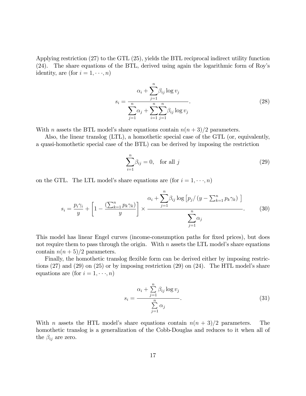Applying restriction (27) to the GTL (25), yields the BTL reciprocal indirect utility function (24). The share equations of the BTL, derived using again the logarithmic form of Royís identity, are (for  $i = 1, \dots, n$ )

$$
s_i = \frac{\alpha_i + \sum_{j=1}^n \beta_{ij} \log v_j}{\sum_{j=1}^n \alpha_j + \sum_{i=1}^n \sum_{j=1}^n \beta_{ij} \log v_j}.
$$
\n(28)

With *n* assets the BTL model's share equations contain  $n(n+3)/2$  parameters.

Also, the linear translog (LTL), a homothetic special case of the GTL (or, equivalently, a quasi-homothetic special case of the BTL) can be derived by imposing the restriction

$$
\sum_{i=1}^{n} \beta_{ij} = 0, \quad \text{for all } j \tag{29}
$$

on the GTL. The LTL model's share equations are (for  $i = 1, \dots, n$ )

$$
s_i = \frac{p_i \gamma_i}{y} + \left[1 - \frac{\left(\sum_{k=1}^n p_k \gamma_k\right)}{y}\right] \times \frac{\alpha_i + \sum_{j=1}^n \beta_{ij} \log\left[p_j / \left(y - \sum_{k=1}^n p_k \gamma_k\right)\right]}{\sum_{j=1}^n \alpha_j}.
$$
 (30)

This model has linear Engel curves (income-consumption paths for fixed prices), but does not require them to pass through the origin. With  $n$  assets the LTL model's share equations contain  $n(n+5)/2$  parameters.

Finally, the homothetic translog flexible form can be derived either by imposing restrictions  $(27)$  and  $(29)$  on  $(25)$  or by imposing restriction  $(29)$  on  $(24)$ . The HTL model's share equations are (for  $i = 1, \dots, n$ )

$$
s_i = \frac{\alpha_i + \sum_{j=1}^n \beta_{ij} \log v_j}{\sum_{j=1}^n \alpha_j}.
$$
\n(31)

With n assets the HTL model's share equations contain  $n(n+3)/2$  parameters. The homothetic translog is a generalization of the Cobb-Douglas and reduces to it when all of the  $\beta_{ij}$  are zero.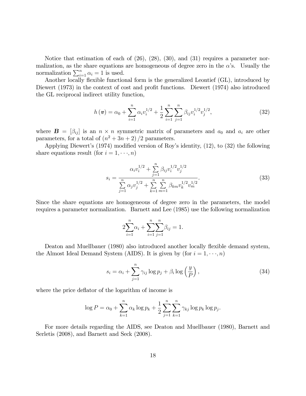Notice that estimation of each of (26), (28), (30), and (31) requires a parameter normalization, as the share equations are homogeneous of degree zero in the  $\alpha$ 's. Usually the normalization  $\sum_{i=1}^{n} \alpha_i = 1$  is used.

Another locally flexible functional form is the generalized Leontief (GL), introduced by Diewert (1973) in the context of cost and profit functions. Diewert (1974) also introduced the GL reciprocal indirect utility function,

$$
h(\boldsymbol{v}) = \alpha_0 + \sum_{i=1}^{n} \alpha_i v_i^{1/2} + \frac{1}{2} \sum_{i=1}^{n} \sum_{j=1}^{n} \beta_{ij} v_i^{1/2} v_j^{1/2},
$$
\n(32)

where  $\mathbf{B} = [\beta_{ij}]$  is an  $n \times n$  symmetric matrix of parameters and  $a_0$  and  $a_i$  are other parameters, for a total of  $(n^2 + 3n + 2)/2$  parameters.

Applying Diewert's  $(1974)$  modified version of Roy's identity,  $(12)$ , to  $(32)$  the following share equations result (for  $i = 1, \dots, n$ )

$$
s_i = \frac{\alpha_i v_i^{1/2} + \sum_{j=1}^n \beta_{ij} v_i^{1/2} v_j^{1/2}}{\sum_{j=1}^n \alpha_j v_j^{1/2} + \sum_{k=1}^n \sum_{m=1}^n \beta_{km} v_k^{1/2} v_m^{1/2}}.
$$
 (33)

Since the share equations are homogeneous of degree zero in the parameters, the model requires a parameter normalization. Barnett and Lee (1985) use the following normalization

$$
2\sum_{i=1}^{n} \alpha_i + \sum_{i=1}^{n} \sum_{j=1}^{n} \beta_{ij} = 1.
$$

Deaton and Muellbauer (1980) also introduced another locally flexible demand system, the Almost Ideal Demand System (AIDS). It is given by (for  $i = 1, \dots, n$ )

$$
s_i = \alpha_i + \sum_{j=1}^n \gamma_{ij} \log p_j + \beta_i \log \left(\frac{y}{P}\right),\tag{34}
$$

where the price deflator of the logarithm of income is

$$
\log P = \alpha_0 + \sum_{k=1}^n \alpha_k \log p_k + \frac{1}{2} \sum_{j=1}^n \sum_{k=1}^n \gamma_{kj} \log p_k \log p_j.
$$

For more details regarding the AIDS, see Deaton and Muellbauer (1980), Barnett and Serletis (2008), and Barnett and Seck (2008).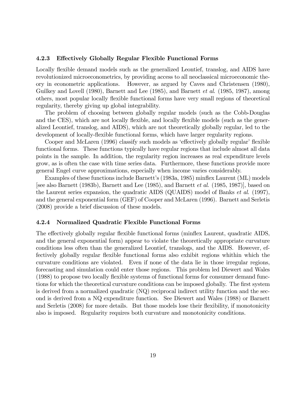#### 4.2.3 Effectively Globally Regular Flexible Functional Forms

Locally flexible demand models such as the generalized Leontief, translog, and AIDS have revolutionized microeconometrics, by providing access to all neoclassical microeconomic theory in econometric applications. However, as argued by Caves and Christensen (1980), Guilkey and Lovell (1980), Barnett and Lee (1985), and Barnett *et al.* (1985, 1987), among others, most popular locally áexible functional forms have very small regions of theoretical regularity, thereby giving up global integrability.

The problem of choosing between globally regular models (such as the Cobb-Douglas and the CES), which are not locally flexible, and locally flexible models (such as the generalized Leontief, translog, and AIDS), which are not theoretically globally regular, led to the development of locally-flexible functional forms, which have larger regularity regions.

Cooper and McLaren (1996) classify such models as 'effectively globally regular' flexible functional forms. These functions typically have regular regions that include almost all data points in the sample. In addition, the regularity region increases as real expenditure levels grow, as is often the case with time series data. Furthermore, these functions provide more general Engel curve approximations, especially when income varies considerably.

Examples of these functions include Barnettís (1983a, 1985) mináex Laurent (ML) models [see also Barnett (1983b), Barnett and Lee (1985), and Barnett et al. (1985, 1987)], based on the Laurent series expansion, the quadratic AIDS (QUAIDS) model of Banks *et al.* (1997), and the general exponential form (GEF) of Cooper and McLaren (1996). Barnett and Serletis (2008) provide a brief discussion of these models.

#### 4.2.4 Normalized Quadratic Flexible Functional Forms

The effectively globally regular flexible functional forms (minflex Laurent, quadratic AIDS, and the general exponential form) appear to violate the theoretically appropriate curvature conditions less often than the generalized Leontief, translogs, and the AIDS. However, effectively globally regular flexible functional forms also exhibit regions whithin which the curvature conditions are violated. Even if none of the data lie in those irregular regions, forecasting and simulation could enter those regions. This problem led Diewert and Wales (1988) to propose two locally áexible systems of functional forms for consumer demand functions for which the theoretical curvature conditions can be imposed globally. The first system is derived from a normalized quadratic (NQ) reciprocal indirect utility function and the second is derived from a NQ expenditure function. See Diewert and Wales (1988) or Barnett and Serletis (2008) for more details. But those models lose their flexibility, if monotonicity also is imposed. Regularity requires both curvature and monotonicity conditions.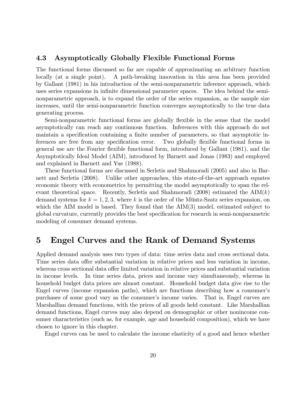## 4.3 Asymptotically Globally Flexible Functional Forms

The functional forms discussed so far are capable of approximating an arbitrary function locally (at a single point). A path-breaking innovation in this area has been provided by Gallant (1981) in his introduction of the semi-nonparametric inference approach, which uses series expansions in infinite dimensional parameter spaces. The idea behind the seminonparametric approach, is to expand the order of the series expansion, as the sample size increases, until the semi-nonparametric function converges asymptotically to the true data generating process.

Semi-nonparametric functional forms are globally flexible in the sense that the model asymptotically can reach any continuous function. Inferences with this approach do not maintain a specification containing a finite number of parameters, so that asymptotic inferences are free from any specification error. Two globally flexible functional forms in general use are the Fourier áexible functional form, introduced by Gallant (1981), and the Asymptotically Ideal Model (AIM), introduced by Barnett and Jonas (1983) and employed and explained in Barnett and Yue (1988).

These functional forms are discussed in Serletis and Shahmoradi (2005) and also in Barnett and Serletis (2008). Unlike other approaches, this state-of-the-art approach equates economic theory with econometrics by permitting the model asymptotically to span the relevant theoretical space. Recently, Serletis and Shahmoradi (2008) estimated the  $\text{AIM}(k)$ demand systems for  $k = 1, 2, 3$ , where k is the order of the Müntz-Szatz series expansion, on which the AIM model is based. They found that the AIM(3) model, estimated subject to global curvature, currently provides the best specification for research in semi-nonparametric modeling of consumer demand systems.

## 5 Engel Curves and the Rank of Demand Systems

Applied demand analysis uses two types of data: time series data and cross sectional data. Time series data offer substantial variation in relative prices and less variation in income, whereas cross sectional data offer limited variation in relative prices and substantial variation in income levels. In time series data, prices and income vary simultaneously, whereas in household budget data prices are almost constant. Household budget data give rise to the Engel curves (income expansion paths), which are functions describing how a consumerís purchases of some good vary as the consumer's income varies. That is, Engel curves are Marshallian demand functions, with the prices of all goods held constant. Like Marshallian demand functions, Engel curves may also depend on demographic or other nonincome consumer characteristics (such as, for example, age and household composition), which we have chosen to ignore in this chapter.

Engel curves can be used to calculate the income elasticity of a good and hence whether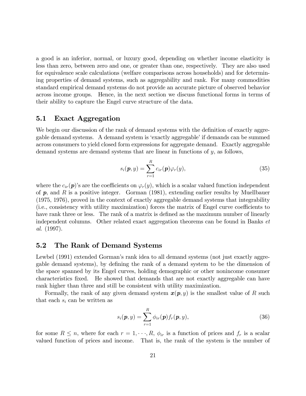a good is an inferior, normal, or luxury good, depending on whether income elasticity is less than zero, between zero and one, or greater than one, respectively. They are also used for equivalence scale calculations (welfare comparisons across households) and for determining properties of demand systems, such as aggregability and rank. For many commodities standard empirical demand systems do not provide an accurate picture of observed behavior across income groups. Hence, in the next section we discuss functional forms in terms of their ability to capture the Engel curve structure of the data.

### 5.1 Exact Aggregation

We begin our discussion of the rank of demand systems with the definition of exactly aggregable demand systems. A demand system is 'exactly aggregable' if demands can be summed across consumers to yield closed form expressions for aggregate demand. Exactly aggregable demand systems are demand systems that are linear in functions of y, as follows,

$$
s_i(\boldsymbol{p}, y) = \sum_{r=1}^R c_{ir}(\boldsymbol{p}) \varphi_r(y), \qquad (35)
$$

where the  $c_{ir}(\mathbf{p})$ 's are the coefficients on  $\varphi_r(y)$ , which is a scalar valued function independent of  $p$ , and R is a positive integer. Gorman (1981), extending earlier results by Muellbauer (1975, 1976), proved in the context of exactly aggregable demand systems that integrability (i.e., consistency with utility maximization) forces the matrix of Engel curve coefficients to have rank three or less. The rank of a matrix is defined as the maximum number of linearly independent columns. Other related exact aggregation theorems can be found in Banks et al. (1997).

## 5.2 The Rank of Demand Systems

Lewbel (1991) extended Gorman's rank idea to all demand systems (not just exactly aggregable demand systems), by defining the rank of a demand system to be the dimension of the space spanned by its Engel curves, holding demographic or other nonincome consumer characteristics Öxed. He showed that demands that are not exactly aggregable can have rank higher than three and still be consistent with utility maximization.

Formally, the rank of any given demand system  $x(p, y)$  is the smallest value of R such that each  $s_i$  can be written as

$$
s_i(\boldsymbol{p}, y) = \sum_{r=1}^R \phi_{ir}(\boldsymbol{p}) f_r(\boldsymbol{p}, y), \qquad (36)
$$

for some  $R \leq n$ , where for each  $r = 1, \dots, R$ ,  $\phi_{ir}$  is a function of prices and  $f_r$  is a scalar valued function of prices and income. That is, the rank of the system is the number of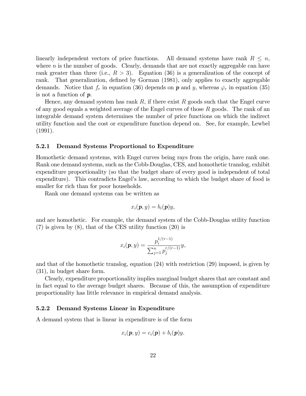linearly independent vectors of price functions. All demand systems have rank  $R \leq n$ , where  $n$  is the number of goods. Clearly, demands that are not exactly aggregable can have rank greater than three (i.e.,  $R > 3$ ). Equation (36) is a generalization of the concept of rank. That generalization, defined by Gorman (1981), only applies to exactly aggregable demands. Notice that  $f_r$  in equation (36) depends on  $p$  and  $y$ , whereas  $\varphi_r$  in equation (35) is not a function of p.

Hence, any demand system has rank R, if there exist R goods such that the Engel curve of any good equals a weighted average of the Engel curves of those  $R$  goods. The rank of an integrable demand system determines the number of price functions on which the indirect utility function and the cost or expenditure function depend on. See, for example, Lewbel (1991).

#### 5.2.1 Demand Systems Proportional to Expenditure

Homothetic demand systems, with Engel curves being rays from the origin, have rank one. Rank one demand systems, such as the Cobb-Douglas, CES, and homothetic translog, exhibit expenditure proportionality (so that the budget share of every good is independent of total expenditure). This contradicts Engel's law, according to which the budget share of food is smaller for rich than for poor households.

Rank one demand systems can be written as

$$
x_i(\boldsymbol{p},y)=b_i(\boldsymbol{p})y,
$$

and are homothetic. For example, the demand system of the Cobb-Douglas utility function (7) is given by (8), that of the CES utility function (20) is

$$
x_i(\boldsymbol{p}, y) = \frac{p_i^{1/(r-1)}}{\sum_{j=1}^n p_j^{r/(r-1)}} y,
$$

and that of the homothetic translog, equation (24) with restriction (29) imposed, is given by (31), in budget share form.

Clearly, expenditure proportionality implies marginal budget shares that are constant and in fact equal to the average budget shares. Because of this, the assumption of expenditure proportionality has little relevance in empirical demand analysis.

#### 5.2.2 Demand Systems Linear in Expenditure

A demand system that is linear in expenditure is of the form

$$
x_i(\boldsymbol{p},y)=c_i(\boldsymbol{p})+b_i(\boldsymbol{p})y.
$$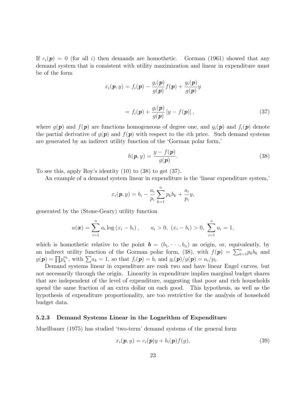If  $c_i(\mathbf{p}) = 0$  (for all i) then demands are homothetic. Gorman (1961) showed that any demand system that is consistent with utility maximization and linear in expenditure must be of the form

$$
x_i(\mathbf{p}, y) = f_i(\mathbf{p}) - \frac{g_i(\mathbf{p})}{g(\mathbf{p})} f(\mathbf{p}) + \frac{g_i(\mathbf{p})}{g(\mathbf{p})} y
$$

$$
= f_i(\mathbf{p}) + \frac{g_i(\mathbf{p})}{g(\mathbf{p})} [y - f(\mathbf{p})], \qquad (37)
$$

where  $g(\mathbf{p})$  and  $f(\mathbf{p})$  are functions homogeneous of degree one, and  $g_i(\mathbf{p})$  and  $f_i(\mathbf{p})$  denote the partial derivative of  $g(\mathbf{p})$  and  $f(\mathbf{p})$  with respect to the *i*th price. Such demand systems are generated by an indirect utility function of the 'Gorman polar form,'

$$
h(\mathbf{p}, y) = \frac{y - f(\mathbf{p})}{g(\mathbf{p})}.
$$
\n(38)

To see this, apply Roy's identity  $(10)$  to  $(38)$  to get  $(37)$ .

An example of a demand system linear in expenditure is the 'linear expenditure system,

$$
x_i(\bm{p}, y) = b_i - \frac{a_i}{p_i} \sum_{k=1}^n p_k b_k + \frac{a_i}{p_i} y,
$$

generated by the (Stone-Geary) utility function

$$
u(\boldsymbol{x}) = \sum_{i=1}^{n} a_i \log (x_i - b_i), \qquad a_i > 0, \ (x_i - b_i) > 0, \ \sum_{i=1}^{n} a_i = 1,
$$

which is homothetic relative to the point  $\mathbf{b} = (b_1, \dots, b_n)$  as origin, or, equivalently, by an indirect utility function of the Gorman polar form, (38), with  $f(\mathbf{p}) = \sum_{k=1}^{n} p_k b_k$  and  $g(\boldsymbol{p})=\prod p_{k}^{a_{k}}$  $k_k^{a_k}$ , with  $\sum a_k = 1$ , so that  $f_i(\mathbf{p}) = b_i$  and  $g_i(\mathbf{p})/g(\mathbf{p}) = a_i/p_i$ .

Demand systems linear in expenditure are rank two and have linear Engel curves, but not necessarily through the origin. Linearity in expenditure implies marginal budget shares that are independent of the level of expenditure, suggesting that poor and rich households spend the same fraction of an extra dollar on each good. This hypothesis, as well as the hypothesis of expenditure proportionality, are too restrictive for the analysis of household budget data.

#### 5.2.3 Demand Systems Linear in the Logarithm of Expenditure

Muellbauer (1975) has studied 'two-term' demand systems of the general form

$$
x_i(\mathbf{p}, y) = c_i(\mathbf{p})y + b_i(\mathbf{p})f(y),\tag{39}
$$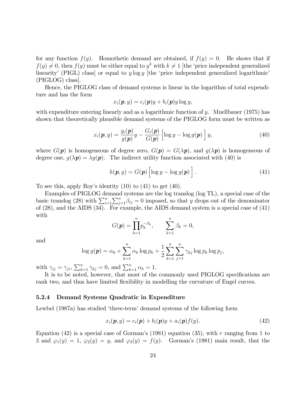for any function  $f(y)$ . Homothetic demand are obtained, if  $f(y) = 0$ . He shows that if  $f(y) \neq 0$ , then  $f(y)$  must be either equal to  $y^k$  with  $k \neq 1$  [the 'price independent generalized linearity' (PIGL) class or equal to y log y  $[the 'price independent generalized logarithmic'$ (PIGLOG) class].

Hence, the PIGLOG class of demand systems is linear in the logarithm of total expenditure and has the form

$$
x_i(\boldsymbol{p},y) = c_i(\boldsymbol{p})y + b_i(\boldsymbol{p})y \log y,
$$

with expenditure entering linearly and as a logarithmic function of y. Muellbauer (1975) has shown that theoretically plausible demand systems of the PIGLOG form must be written as

$$
x_i(\boldsymbol{p}, y) = \frac{g_i(\boldsymbol{p})}{g(\boldsymbol{p})}y - \frac{G_i(\boldsymbol{p})}{G(\boldsymbol{p})}\left[\log y - \log g(\boldsymbol{p})\right]y,\tag{40}
$$

where  $G(\mathbf{p})$  is homogeneous of degree zero,  $G(\mathbf{p}) = G(\lambda \mathbf{p})$ , and  $g(\lambda \mathbf{p})$  is homogeneous of degree one,  $g(\lambda p) = \lambda g(p)$ . The indirect utility function associated with (40) is

$$
h(\boldsymbol{p}, y) = G(\boldsymbol{p}) \left[ \log y - \log g(\boldsymbol{p}) \right]. \tag{41}
$$

To see this, apply Roy's identity  $(10)$  to  $(41)$  to get  $(40)$ .

Examples of PIGLOG demand systems are the log translog (log TL), a special case of the basic translog (28) with  $\sum_{i=1}^{n} \sum_{j=1}^{n} \beta_{ij} = 0$  imposed, so that y drops out of the denominator of (28), and the AIDS (34). For example, the AIDS demand system is a special case of (41) with

$$
G(\mathbf{p}) = \prod_{k=1}^{n} p_k^{-\beta_k}, \qquad \sum_{k=1}^{n} \beta_k = 0,
$$

and

$$
\log g(\mathbf{p}) = \alpha_0 + \sum_{k=1}^n \alpha_k \log p_k + \frac{1}{2} \sum_{k=1}^n \sum_{j=1}^n \gamma_{kj} \log p_k \log p_j,
$$

with  $\gamma_{ij} = \gamma_{ji}, \sum_{k=1}^n \gamma_{kj} = 0$ , and  $\sum_{k=1}^n \alpha_k = 1$ .

It is to be noted, however, that most of the commonly used PIGLOG specifications are rank two, and thus have limited flexibility in modelling the curvature of Engel curves.

#### 5.2.4 Demand Systems Quadratic in Expenditure

Lewbel (1987a) has studied 'three-term' demand systems of the following form

$$
x_i(\boldsymbol{p}, y) = c_i(\boldsymbol{p}) + b_i(\boldsymbol{p})y + a_i(\boldsymbol{p})f(y). \tag{42}
$$

Equation (42) is a special case of Gorman's (1981) equation (35), with r ranging from 1 to 3 and  $\varphi_1(y) = 1$ ,  $\varphi_2(y) = y$ , and  $\varphi_3(y) = f(y)$ . Gorman's (1981) main result, that the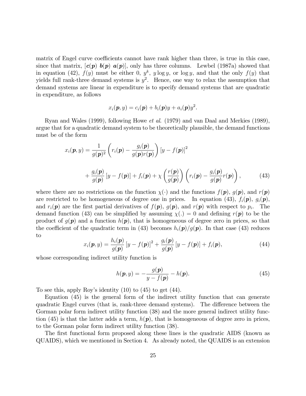matrix of Engel curve coefficients cannot have rank higher than three, is true in this case, since that matrix,  $[c(p) b(p) a(p)]$ , only has three columns. Lewbel (1987a) showed that in equation (42),  $f(y)$  must be either 0,  $y^k$ ,  $y \log y$ , or  $\log y$ , and that the only  $f(y)$  that yields full rank-three demand systems is  $y^2$ . Hence, one way to relax the assumption that demand systems are linear in expenditure is to specify demand systems that are quadratic in expenditure, as follows

$$
x_i(\boldsymbol{p},y) = c_i(\boldsymbol{p}) + b_i(\boldsymbol{p})y + a_i(\boldsymbol{p})y^2.
$$

Ryan and Wales (1999), following Howe et al. (1979) and van Daal and Merkies (1989), argue that for a quadratic demand system to be theoretically plausible, the demand functions must be of the form

$$
x_i(\boldsymbol{p}, y) = \frac{1}{g(\boldsymbol{p})^2} \left( r_i(\boldsymbol{p}) - \frac{g_i(\boldsymbol{p})}{g(\boldsymbol{p})r(\boldsymbol{p})} \right) \left[ y - f(\boldsymbol{p}) \right]^2
$$
  
+ 
$$
\frac{g_i(\boldsymbol{p})}{g(\boldsymbol{p})} \left[ y - f(\boldsymbol{p}) \right] + f_i(\boldsymbol{p}) + \chi \left( \frac{r(\boldsymbol{p})}{g(\boldsymbol{p})} \right) \left( r_i(\boldsymbol{p}) - \frac{g_i(\boldsymbol{p})}{g(\boldsymbol{p})}r(\boldsymbol{p}) \right), \tag{43}
$$

where there are no restrictions on the function  $\chi(\cdot)$  and the functions  $f(\mathbf{p})$ ,  $g(\mathbf{p})$ , and  $r(\mathbf{p})$ are restricted to be homogeneous of degree one in prices. In equation (43),  $f_i(\mathbf{p})$ ,  $g_i(\mathbf{p})$ , and  $r_i(\mathbf{p})$  are the first partial derivatives of  $f(\mathbf{p})$ ,  $g(\mathbf{p})$ , and  $r(\mathbf{p})$  with respect to  $p_i$ . The demand function (43) can be simplified by assuming  $\chi(.) = 0$  and defining  $r(\mathbf{p})$  to be the product of  $g(\mathbf{p})$  and a function  $h(\mathbf{p})$ , that is homogeneous of degree zero in prices, so that the coefficient of the quadratic term in (43) becomes  $h_i(\mathbf{p})/g(\mathbf{p})$ . In that case (43) reduces to

$$
x_i(\boldsymbol{p}, y) = \frac{h_i(\boldsymbol{p})}{g(\boldsymbol{p})} \left[ y - f(\boldsymbol{p}) \right]^2 + \frac{g_i(\boldsymbol{p})}{g(\boldsymbol{p})} \left[ y - f(\boldsymbol{p}) \right] + f_i(\boldsymbol{p}), \tag{44}
$$

whose corresponding indirect utility function is

$$
h(\mathbf{p}, y) = -\frac{g(\mathbf{p})}{y - f(\mathbf{p})} - h(\mathbf{p}).
$$
\n(45)

To see this, apply Roy's identity  $(10)$  to  $(45)$  to get  $(44)$ .

Equation (45) is the general form of the indirect utility function that can generate quadratic Engel curves (that is, rank-three demand systems). The difference between the Gorman polar form indirect utility function  $(38)$  and the more general indirect utility function (45) is that the latter adds a term,  $h(p)$ , that is homogeneous of degree zero in prices, to the Gorman polar form indirect utility function (38).

The first functional form proposed along these lines is the quadratic AIDS (known as QUAIDS), which we mentioned in Section 4. As already noted, the QUAIDS is an extension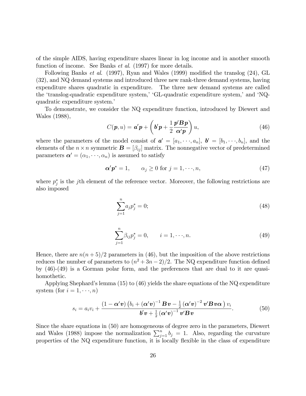of the simple AIDS, having expenditure shares linear in log income and in another smooth function of income. See Banks *et al.* (1997) for more details.

Following Banks *et al.* (1997), Ryan and Wales (1999) modified the translog  $(24)$ , GL (32), and NQ demand systems and introduced three new rank-three demand systems, having expenditure shares quadratic in expenditure. The three new demand systems are called the 'translog-quadratic expenditure system,' 'GL-quadratic expenditure system,' and 'NQquadratic expenditure system.

To demonstrate, we consider the NQ expenditure function, introduced by Diewert and Wales (1988),

$$
C(\boldsymbol{p},u) = \boldsymbol{a}'\boldsymbol{p} + \left(\boldsymbol{b}'\boldsymbol{p} + \frac{1}{2}\frac{\boldsymbol{p}'\boldsymbol{B}\boldsymbol{p}}{\boldsymbol{\alpha}'\boldsymbol{p}}\right)u,\tag{46}
$$

where the parameters of the model consist of  $a' = [a_1, \dots, a_n], b' = [b_1, \dots, b_n],$  and the elements of the  $n \times n$  symmetric  $\mathbf{B} = [\beta_{ij}]$  matrix. The nonnegative vector of predetermined parameters  $\boldsymbol{\alpha}' = (\alpha_1, \dots, \alpha_n)$  is assumed to satisfy

$$
\alpha' p^* = 1, \qquad \alpha_j \ge 0 \text{ for } j = 1, \dots, n,
$$
\n
$$
(47)
$$

where  $p_j^*$  is the jth element of the reference vector. Moreover, the following restrictions are also imposed

$$
\sum_{j=1}^{n} a_j p_j^* = 0; \tag{48}
$$

$$
\sum_{j=1}^{n} \beta_{ij} p_j^* = 0, \qquad i = 1, \dots, n. \tag{49}
$$

Hence, there are  $n(n+5)/2$  parameters in (46), but the imposition of the above restrictions reduces the number of parameters to  $(n^2+3n-2)/2$ . The NQ expenditure function defined by (46)-(49) is a Gorman polar form, and the preferences that are dual to it are quasihomothetic.

Applying Shephard's lemma (15) to (46) yields the share equations of the NQ expenditure system (for  $i = 1, \dots, n$ )

$$
s_i = a_i v_i + \frac{\left(1 - \alpha' \boldsymbol{v}\right) \left(b_i + (\alpha' \boldsymbol{v})^{-1} \boldsymbol{B} \boldsymbol{v} - \frac{1}{2} (\alpha' \boldsymbol{v})^{-2} \boldsymbol{v}' \boldsymbol{B} \boldsymbol{v} \alpha\right) v_i}{\boldsymbol{b}' \boldsymbol{v} + \frac{1}{2} (\alpha' \boldsymbol{v})^{-1} \boldsymbol{v}' \boldsymbol{B} \boldsymbol{v}}.
$$
(50)

Since the share equations in (50) are homogeneous of degree zero in the parameters, Diewert and Wales (1988) impose the normalization  $\sum_{j=1}^{n} b_j = 1$ . Also, regarding the curvature properties of the NQ expenditure function, it is locally flexible in the class of expenditure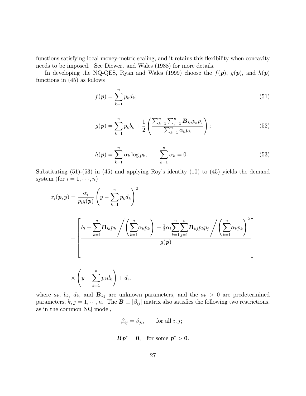functions satisfying local money-metric scaling, and it retains this flexibility when concavity needs to be imposed. See Diewert and Wales (1988) for more details.

In developing the NQ-QES, Ryan and Wales (1999) choose the  $f(\mathbf{p})$ ,  $g(\mathbf{p})$ , and  $h(\mathbf{p})$ functions in (45) as follows

$$
f(\mathbf{p}) = \sum_{k=1}^{n} p_k d_k; \tag{51}
$$

$$
g(\mathbf{p}) = \sum_{k=1}^{n} p_k b_k + \frac{1}{2} \left( \frac{\sum_{k=1}^{n} \sum_{j=1}^{n} \mathbf{B}_{kj} p_k p_j}{\sum_{k=1}^{n} \alpha_k p_k} \right);
$$
 (52)

$$
h(\mathbf{p}) = \sum_{k=1}^{n} \alpha_k \log p_k, \qquad \sum_{k=1}^{n} \alpha_k = 0.
$$
 (53)

Substituting  $(51)-(53)$  in  $(45)$  and applying Roy's identity  $(10)$  to  $(45)$  yields the demand system (for  $i = 1, \dots, n$ )

$$
x_i(\boldsymbol{p}, y) = \frac{\alpha_i}{p_i g(\boldsymbol{p})} \left( y - \sum_{k=1}^n p_k d_k \right)^2
$$
  
+ 
$$
\left[ b_i + \sum_{k=1}^n \mathbf{B}_{ik} p_k \middle/ \left( \sum_{k=1}^n \alpha_k p_k \right) - \frac{1}{2} \alpha_i \sum_{k=1}^n \sum_{j=1}^n \mathbf{B}_{kj} p_k p_j \middle/ \left( \sum_{k=1}^n \alpha_k p_k \right)^2 \right]
$$
  
 
$$
\times \left( y - \sum_{k=1}^n p_k d_k \right) + d_i,
$$

where  $a_k$ ,  $b_k$ ,  $d_k$ , and  $\mathbf{B}_{kj}$  are unknown parameters, and the  $a_k > 0$  are predetermined parameters,  $k, j = 1, \dots, n$ . The  $\mathbf{B} \equiv [\beta_{ij}]$  matrix also satisfies the following two restrictions, as in the common NQ model,

$$
\beta_{ij} = \beta_{ji}, \qquad \text{for all } i, j;
$$

$$
\boldsymbol{B}\boldsymbol{p}^* = \boldsymbol{0}, \quad \text{for some } \boldsymbol{p}^* > \boldsymbol{0}.
$$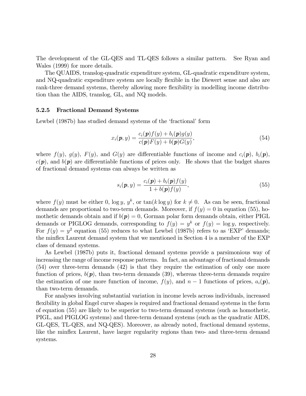The development of the GL-QES and TL-QES follows a similar pattern. See Ryan and Wales (1999) for more details.

The QUAIDS, translog-quadratic expenditure system, GL-quadratic expenditure system, and NQ-quadratic expenditure system are locally flexible in the Diewert sense and also are rank-three demand systems, thereby allowing more flexibility in modelling income distribution than the AIDS, translog, GL, and NQ models.

#### 5.2.5 Fractional Demand Systems

Lewbel (1987b) has studied demand systems of the 'fractional' form

$$
x_i(\mathbf{p}, y) = \frac{c_i(\mathbf{p})f(y) + b_i(\mathbf{p})g(y)}{c(\mathbf{p})F(y) + b(\mathbf{p})G(y)},
$$
\n(54)

where  $f(y)$ ,  $g(y)$ ,  $F(y)$ , and  $G(y)$  are differentiable functions of income and  $c_i(\mathbf{p})$ ,  $b_i(\mathbf{p})$ ,  $c(\mathbf{p})$ , and  $b(\mathbf{p})$  are differentiable functions of prices only. He shows that the budget shares of fractional demand systems can always be written as

$$
s_i(\boldsymbol{p}, y) = \frac{c_i(\boldsymbol{p}) + b_i(\boldsymbol{p})f(y)}{1 + b(\boldsymbol{p})f(y)},
$$
\n(55)

where  $f(y)$  must be either 0,  $\log y$ ,  $y^k$ , or  $\tan(k \log y)$  for  $k \neq 0$ . As can be seen, fractional demands are proportional to two-term demands. Moreover, if  $f(y) = 0$  in equation (55), homothetic demands obtain and if  $b(p) = 0$ , Gorman polar form demands obtain, either PIGL demands or PIGLOG demands, corresponding to  $f(y) = y^k$  or  $f(y) = \log y$ , respectively. For  $f(y) = y^2$  equation (55) reduces to what Lewbel (1987b) refers to as 'EXP' demands; the minflex Laurent demand system that we mentioned in Section 4 is a member of the EXP class of demand systems.

As Lewbel (1987b) puts it, fractional demand systems provide a parsimonious way of increasing the range of income response patterns. In fact, an advantage of fractional demands (54) over three-term demands (42) is that they require the estimation of only one more function of prices,  $b(p)$ , than two-term demands (39), whereas three-term demands require the estimation of one more function of income,  $f(y)$ , and  $n-1$  functions of prices,  $a_i(p)$ , than two-term demands.

For analyses involving substantial variation in income levels across individuals, increased flexibility in global Engel curve shapes is required and fractional demand systems in the form of equation (55) are likely to be superior to two-term demand systems (such as homothetic, PIGL, and PIGLOG systems) and three-term demand systems (such as the quadratic AIDS, GL-QES, TL-QES, and NQ-QES). Moreover, as already noted, fractional demand systems, like the minflex Laurent, have larger regularity regions than two- and three-term demand systems.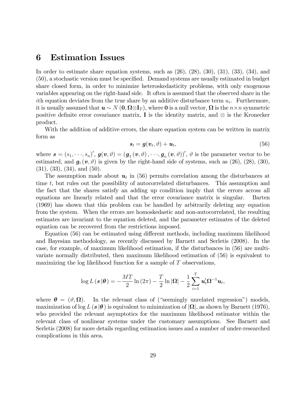# 6 Estimation Issues

In order to estimate share equation systems, such as  $(26)$ ,  $(28)$ ,  $(30)$ ,  $(31)$ ,  $(33)$ ,  $(34)$ , and (50), a stochastic version must be speciÖed. Demand systems are usually estimated in budget share closed form, in order to minimize heteroskedasticity problems, with only exogenous variables appearing on the right-hand side. It often is assumed that the observed share in the ith equation deviates from the true share by an additive disturbance term  $u_i$ . Furthermore, it is usually assumed that  $u \sim N(0, \Omega \otimes I_T)$ , where 0 is a null vector,  $\Omega$  is the  $n \times n$  symmetric positive definite error covariance matrix,  $\bf{I}$  is the identity matrix, and  $\otimes$  is the Kronecker product.

With the addition of additive errors, the share equation system can be written in matrix form as

$$
\boldsymbol{s}_t = \boldsymbol{g}(\boldsymbol{v}_t, \vartheta) + \boldsymbol{u}_t,\tag{56}
$$

where  $\boldsymbol{s} = (s_1, \dots, s_n)'$ ,  $\boldsymbol{g}(\boldsymbol{v}, \vartheta) = (\boldsymbol{g}_1(\boldsymbol{v}, \vartheta), \dots, \boldsymbol{g}_n(\boldsymbol{v}, \vartheta))'$ ,  $\vartheta$  is the parameter vector to be estimated, and  $g_i(v, \vartheta)$  is given by the right-hand side of systems, such as (26), (28), (30), (31), (33), (34), and (50).

The assumption made about  $u_t$  in (56) permits correlation among the disturbances at time t, but rules out the possibility of autocorrelated disturbances. This assumption and the fact that the shares satisfy an adding up condition imply that the errors across all equations are linearly related and that the error covariance matrix is singular. Barten (1969) has shown that this problem can be handled by arbitrarily deleting any equation from the system. When the errors are homoskedastic and non-autocorrelated, the resulting estimates are invariant to the equation deleted, and the parameter estimates of the deleted equation can be recovered from the restrictions imposed.

Equation (56) can be estimated using different methods, including maximum likelihood and Bayesian methodology, as recently discussed by Barnett and Serletis (2008). In the case, for example, of maximum likelihood estimation, if the disturbances in (56) are multivariate normally distributed, then maximum likelihood estimation of (56) is equivalent to maximizing the log likelihood function for a sample of T observations,

$$
\log L(\mathbf{s}|\boldsymbol{\theta}) = -\frac{MT}{2}\ln(2\pi) - \frac{T}{2}\ln|\Omega| - \frac{1}{2}\sum_{i=1}^{T}\mathbf{u}_t'\Omega^{-1}\mathbf{u}_t,
$$

where  $\boldsymbol{\theta} = (\vartheta, \boldsymbol{\Omega}).$ In the relevant class of ("seemingly unrelated regression") models, maximization of  $\log L(s|\theta)$  is equivalent to minimization of  $|\Omega|$ , as shown by Barnett (1976), who provided the relevant asymptotics for the maximum likelihood estimator within the relevant class of nonlinear systems under the customary assumptions. See Barnett and Serletis (2008) for more details regarding estimation issues and a number of under-researched complications in this area.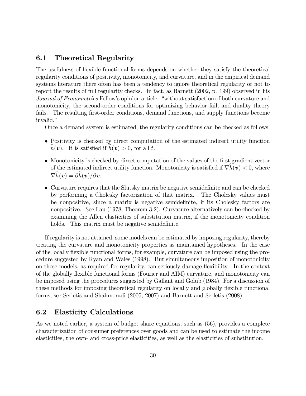## 6.1 Theoretical Regularity

The usefulness of flexible functional forms depends on whether they satisfy the theoretical regularity conditions of positivity, monotonicity, and curvature, and in the empirical demand systems literature there often has been a tendency to ignore theoretical regularity or not to report the results of full regularity checks. In fact, as Barnett (2002, p. 199) observed in his Journal of Econometrics Fellow's opinion article: "without satisfaction of both curvature and monotonicity, the second-order conditions for optimizing behavior fail, and duality theory fails. The resulting first-order conditions, demand functions, and supply functions become invalid."

Once a demand system is estimated, the regularity conditions can be checked as follows:

- Positivity is checked by direct computation of the estimated indirect utility function  $h(\mathbf{v})$ . It is satisfied if  $h(\mathbf{v}) > 0$ , for all t.
- Monotonicity is checked by direct computation of the values of the first gradient vector of the estimated indirect utility function. Monotonicity is satisfied if  $\nabla h(\mathbf{v}) < 0$ , where  $\nabla \widehat{h}(\boldsymbol{v}) = \partial \widehat{h}(\boldsymbol{v})/\partial \boldsymbol{v}.$
- Curvature requires that the Slutsky matrix be negative semidefinite and can be checked by performing a Cholesky factorization of that matrix. The Cholesky values must be nonpositive, since a matrix is negative semidefinite, if its Cholesky factors are nonpositive. See Lau (1978, Theorem 3.2). Curvature alternatively can be checked by examining the Allen elasticities of substitution matrix, if the monotonicity condition holds. This matrix must be negative semidefinite.

If regularity is not attained, some models can be estimated by imposing regularity, thereby treating the curvature and monotonicity properties as maintained hypotheses. In the case of the locally áexible functional forms, for example, curvature can be imposed using the procedure suggested by Ryan and Wales (1998). But simultaneous imposition of monotonicity on these models, as required for regularity, can seriously damage flexibility. In the context of the globally flexible functional forms (Fourier and AIM) curvature, and monotonicity can be imposed using the procedures suggested by Gallant and Golub (1984). For a discussion of these methods for imposing theoretical regularity on locally and globally flexible functional forms, see Serletis and Shahmoradi (2005, 2007) and Barnett and Serletis (2008).

## 6.2 Elasticity Calculations

As we noted earlier, a system of budget share equations, such as (56), provides a complete characterization of consumer preferences over goods and can be used to estimate the income elasticities, the own- and cross-price elasticities, as well as the elasticities of substitution.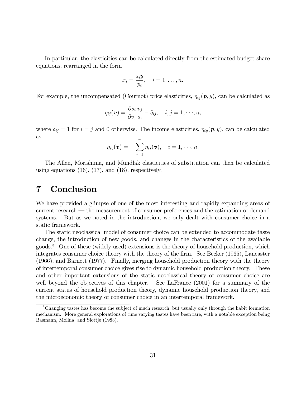In particular, the elasticities can be calculated directly from the estimated budget share equations, rearranged in the form

$$
x_i = \frac{s_i y}{p_i}, \quad i = 1, \dots, n.
$$

For example, the uncompensated (Cournot) price elasticities,  $\eta_{ij}(\mathbf{p}, y)$ , can be calculated as

$$
\eta_{ij}(\boldsymbol{v})=\frac{\partial s_i}{\partial v_j}\frac{v_j}{s_i}-\delta_{ij},\quad i,j=1,\cdot\cdot\cdot,n,
$$

where  $\delta_{ij} = 1$  for  $i = j$  and 0 otherwise. The income elasticities,  $\eta_{ij}(\mathbf{p}, y)$ , can be calculated as

$$
\eta_{iy}(\boldsymbol{v})=-\sum_{j=1}^n\eta_{ij}(\boldsymbol{v}),\quad i=1,\cdot\cdot\cdot,n.
$$

The Allen, Morishima, and Mundlak elasticities of substitution can then be calculated using equations  $(16)$ ,  $(17)$ , and  $(18)$ , respectively.

# 7 Conclusion

We have provided a glimpse of one of the most interesting and rapidly expanding areas of current research  $-$  the measurement of consumer preferences and the estimation of demand systems. But as we noted in the introduction, we only dealt with consumer choice in a static framework.

The static neoclassical model of consumer choice can be extended to accommodate taste change, the introduction of new goods, and changes in the characteristics of the available goods.<sup>3</sup> One of these (widely used) extensions is the theory of household production, which integrates consumer choice theory with the theory of the firm. See Becker (1965), Lancaster (1966), and Barnett (1977). Finally, merging household production theory with the theory of intertemporal consumer choice gives rise to dynamic household production theory. These and other important extensions of the static neoclassical theory of consumer choice are well beyond the objectives of this chapter. See LaFrance (2001) for a summary of the current status of household production theory, dynamic household production theory, and the microeconomic theory of consumer choice in an intertemporal framework.

<sup>3</sup>Changing tastes has become the subject of much research, but usually only through the habit formation mechanism. More general explorations of time varying tastes have been rare, with a notable exception being Basmann, Molina, and Slottje (1983).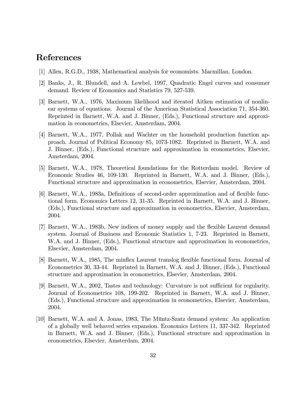# References

- [1] Allen, R.G.D., 1938, Mathematical analysis for economists. Macmillan, London.
- [2] Banks, J., R. Blundell, and A. Lewbel, 1997, Quadratic Engel curves and consumer demand. Review of Economics and Statistics 79, 527-539.
- [3] Barnett, W.A., 1976, Maximum likelihood and iterated Aitken estimation of nonlinear systems of equations. Journal of the American Statistical Association 71, 354-360. Reprinted in Barnett, W.A. and J. Binner, (Eds.), Functional structure and approximation in econometrics, Elsevier, Amsterdam, 2004.
- [4] Barnett, W.A., 1977, Pollak and Wachter on the household production function approach. Journal of Political Economy 85, 1073-1082. Reprinted in Barnett, W.A. and J. Binner, (Eds.), Functional structure and approximation in econometrics, Elsevier, Amsterdam, 2004.
- [5] Barnett, W.A., 1978, Theoretical foundations for the Rotterdam model. Review of Economic Studies 46, 109-130. Reprinted in Barnett, W.A. and J. Binner, (Eds.), Functional structure and approximation in econometrics, Elsevier, Amsterdam, 2004.
- [6] Barnett, W.A., 1983a, Definitions of second-order approximation and of flexible functional form. Economics Letters 12, 31-35. Reprinted in Barnett, W.A. and J. Binner, (Eds.), Functional structure and approximation in econometrics, Elsevier, Amsterdam, 2004.
- [7] Barnett, W.A., 1983b, New indices of money supply and the áexible Laurent demand system. Journal of Business and Economic Statistics 1, 7-23. Reprinted in Barnett, W.A. and J. Binner, (Eds.), Functional structure and approximation in econometrics, Elsevier, Amsterdam, 2004.
- [8] Barnett, W.A., 1985, The minflex Laurent translog flexible functional form. Journal of Econometrics 30, 33-44. Reprinted in Barnett, W.A. and J. Binner, (Eds.), Functional structure and approximation in econometrics, Elsevier, Amsterdam, 2004.
- [9] Barnett, W.A., 2002, Tastes and technology: Curvature is not sufficient for regularity. Journal of Econometrics 108, 199-202. Reprinted in Barnett, W.A. and J. Binner, (Eds.), Functional structure and approximation in econometrics, Elsevier, Amsterdam, 2004.
- [10] Barnett, W.A. and A. Jonas, 1983, The Müntz-Szatz demand system: An application of a globally well behaved series expansion. Economics Letters 11, 337-342. Reprinted in Barnett, W.A. and J. Binner, (Eds.), Functional structure and approximation in econometrics, Elsevier, Amsterdam, 2004.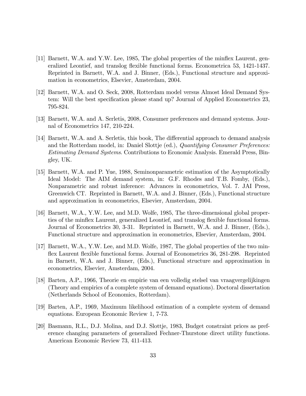- [11] Barnett, W.A. and Y.W. Lee, 1985, The global properties of the minflex Laurent, generalized Leontief, and translog áexible functional forms. Econometrica 53, 1421-1437. Reprinted in Barnett, W.A. and J. Binner, (Eds.), Functional structure and approximation in econometrics, Elsevier, Amsterdam, 2004.
- [12] Barnett, W.A. and O. Seck, 2008, Rotterdam model versus Almost Ideal Demand System: Will the best specification please stand up? Journal of Applied Econometrics 23, 795-824.
- [13] Barnett, W.A. and A. Serletis, 2008, Consumer preferences and demand systems. Journal of Econometrics 147, 210-224.
- [14] Barnett, W.A. and A. Serletis, this book, The differential approach to demand analysis and the Rotterdam model, in: Daniel Slottje (ed.), Quantifying Consumer Preferences: Estimating Demand Systems. Contributions to Economic Analysis. Emerald Press, Bingley, UK.
- [15] Barnett, W.A. and P. Yue, 1988, Seminonparametric estimation of the Asymptotically Ideal Model: The AIM demand system, in: G.F. Rhodes and T.B. Fomby, (Eds.), Nonparametric and robust inference: Advances in econometrics, Vol. 7. JAI Press, Greenwich CT. Reprinted in Barnett, W.A. and J. Binner, (Eds.), Functional structure and approximation in econometrics, Elsevier, Amsterdam, 2004.
- [16] Barnett, W.A., Y.W. Lee, and M.D. Wolfe, 1985, The three-dimensional global properties of the minflex Laurent, generalized Leontief, and translog flexible functional forms. Journal of Econometrics 30, 3-31. Reprinted in Barnett, W.A. and J. Binner, (Eds.), Functional structure and approximation in econometrics, Elsevier, Amsterdam, 2004.
- [17] Barnett, W.A., Y.W. Lee, and M.D. Wolfe, 1987, The global properties of the two minflex Laurent flexible functional forms. Journal of Econometrics 36, 281-298. Reprinted in Barnett, W.A. and J. Binner, (Eds.), Functional structure and approximation in econometrics, Elsevier, Amsterdam, 2004.
- [18] Barten, A.P., 1966, Theorie en empirie van een volledig stelsel van vraagvergelijkingen (Theory and empirics of a complete system of demand equations). Doctoral dissertation (Netherlands School of Economics, Rotterdam).
- [19] Barten, A.P., 1969, Maximum likelihood estimation of a complete system of demand equations. European Economic Review 1, 7-73.
- [20] Basmann, R.L., D.J. Molina, and D.J. Slottje, 1983, Budget constraint prices as preference changing parameters of generalized Fechner-Thurstone direct utility functions. American Economic Review 73, 411-413.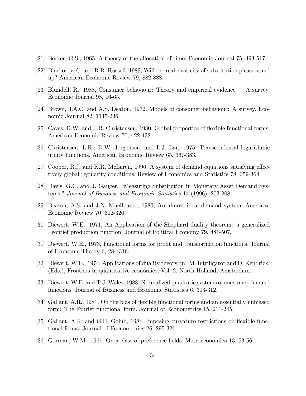- [21] Becker, G.S., 1965, A theory of the allocation of time. Economic Journal 75, 493-517.
- [22] Blackorby, C. and R.R. Russell, 1989, Will the real elasticity of substitution please stand up? American Economic Review 79, 882-888.
- [23] Blundell, R., 1988, Consumer behaviour: Theory and empirical evidence  $\overline{A}$  survey. Economic Journal 98, 16-65.
- [24] Brown, J.A.C. and A.S. Deaton, 1972, Models of consumer behaviour: A survey. Economic Journal 82, 1145-236.
- [25] Caves, D.W. and L.R. Christensen, 1980, Global properties of flexible functional forms. American Economic Review 70, 422-432.
- [26] Christensen, L.R., D.W. Jorgenson, and L.J. Lau, 1975, Transcendental logarithmic utility functions. American Economic Review 65, 367-383.
- [27] Cooper, R.J. and K.R. McLaren, 1996, A system of demand equations satisfying effectively global regularity conditions. Review of Economics and Statistics 78, 359-364.
- [28] Davis, G.C. and J. Gauger. "Measuring Substitution in Monetary Asset Demand Systems.î Journal of Business and Economic Statistics 14 (1996), 203-208.
- [29] Deaton, A.S. and J.N. Muellbauer, 1980, An almost ideal demand system. American Economic Review 70, 312-326.
- [30] Diewert, W.E., 1971, An Application of the Shephard duality theorem: a generalized Leontief production function. Journal of Political Economy 79, 481-507.
- [31] Diewert, W.E., 1973, Functional forms for profit and transformation functions. Journal of Economic Theory 6, 284-316.
- [32] Diewert, W.E., 1974, Applications of duality theory, in: M. Intriligator and D. Kendrick, (Eds.), Frontiers in quantitative economics, Vol. 2. North-Holland, Amsterdam.
- [33] Diewert, W.E. and T.J. Wales, 1988, Normalized quadratic systems of consumer demand functions. Journal of Business and Economic Statistics 6, 303-312.
- [34] Gallant, A.R., 1981, On the bias of flexible functional forms and an essentially unbiased form: The Fourier functional form. Journal of Econometrics 15, 211-245.
- [35] Gallant, A.R. and G.H. Golub, 1984, Imposing curvature restrictions on flexible functional forms. Journal of Econometrics 26, 295-321.
- [36] Gorman, W.M., 1961, On a class of preference fields. Metroeconomica 13, 53-56.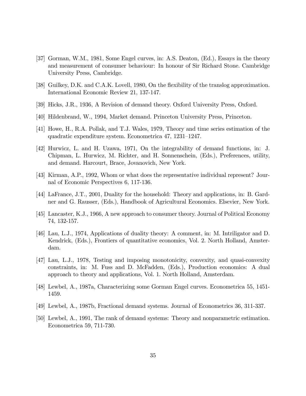- [37] Gorman, W.M., 1981, Some Engel curves, in: A.S. Deaton, (Ed.), Essays in the theory and measurement of consumer behaviour: In honour of Sir Richard Stone. Cambridge University Press, Cambridge.
- [38] Guilkey, D.K. and C.A.K. Lovell, 1980, On the flexibility of the translog approximation. International Economic Review 21, 137-147.
- [39] Hicks, J.R., 1936, A Revision of demand theory. Oxford University Press, Oxford.
- [40] Hildenbrand, W., 1994, Market demand. Princeton University Press, Princeton.
- [41] Howe, H., R.A. Pollak, and T.J. Wales, 1979, Theory and time series estimation of the quadratic expenditure system. Econometrica 47, 1231–1247.
- [42] Hurwicz, L. and H. Uzawa, 1971, On the integrability of demand functions, in: J. Chipman, L. Hurwicz, M. Richter, and H. Sonnenschein, (Eds.), Preferences, utility, and demand. Harcourt, Brace, Jovanovich, New York.
- [43] Kirman, A.P., 1992, Whom or what does the representative individual represent? Journal of Economic Perspectives 6, 117-136.
- [44] LaFrance, J.T., 2001, Duality for the household: Theory and applications, in: B. Gardner and G. Rausser, (Eds.), Handbook of Agricultural Economics. Elsevier, New York.
- [45] Lancaster, K.J., 1966, A new approach to consumer theory. Journal of Political Economy 74, 132-157.
- [46] Lau, L.J., 1974, Applications of duality theory: A comment, in: M. Intriligator and D. Kendrick, (Eds.), Frontiers of quantitative economics, Vol. 2. North Holland, Amsterdam.
- [47] Lau, L.J., 1978, Testing and imposing monotonicity, convexity, and quasi-convexity constraints, in: M. Fuss and D. McFadden, (Eds.), Production economics: A dual approach to theory and applications, Vol. 1. North Holland, Amsterdam.
- [48] Lewbel, A., 1987a, Characterizing some Gorman Engel curves. Econometrica 55, 1451- 1459.
- [49] Lewbel, A., 1987b, Fractional demand systems. Journal of Econometrics 36, 311-337.
- [50] Lewbel, A., 1991, The rank of demand systems: Theory and nonparametric estimation. Econometrica 59, 711-730.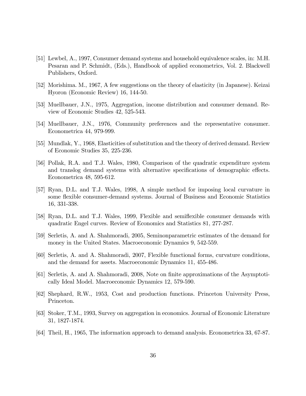- [51] Lewbel, A., 1997, Consumer demand systems and household equivalence scales, in: M.H. Pesaran and P. Schmidt, (Eds.), Handbook of applied econometrics, Vol. 2. Blackwell Publishers, Oxford.
- [52] Morishima. M., 1967, A few suggestions on the theory of elasticity (in Japanese). Keizai Hyoron (Economic Review) 16, 144-50.
- [53] Muellbauer, J.N., 1975, Aggregation, income distribution and consumer demand. Review of Economic Studies 42, 525-543.
- [54] Muellbauer, J.N., 1976, Community preferences and the representative consumer. Econometrica 44, 979-999.
- [55] Mundlak, Y., 1968, Elasticities of substitution and the theory of derived demand. Review of Economic Studies 35, 225-236.
- [56] Pollak, R.A. and T.J. Wales, 1980, Comparison of the quadratic expenditure system and translog demand systems with alternative specifications of demographic effects. Econometrica 48, 595-612.
- [57] Ryan, D.L. and T.J. Wales, 1998, A simple method for imposing local curvature in some flexible consumer-demand systems. Journal of Business and Economic Statistics 16, 331-338.
- [58] Ryan, D.L. and T.J. Wales, 1999, Flexible and semiflexible consumer demands with quadratic Engel curves. Review of Economics and Statistics 81, 277-287.
- [59] Serletis, A. and A. Shahmoradi, 2005, Seminonparametric estimates of the demand for money in the United States. Macroeconomic Dynamics 9, 542-559.
- [60] Serletis, A. and A. Shahmoradi, 2007, Flexible functional forms, curvature conditions, and the demand for assets. Macroeconomic Dynamics 11, 455-486.
- [61] Serletis, A. and A. Shahmoradi, 2008, Note on finite approximations of the Asymptotically Ideal Model. Macroeconomic Dynamics 12, 579-590.
- [62] Shephard, R.W., 1953, Cost and production functions. Princeton University Press, Princeton.
- [63] Stoker, T.M., 1993, Survey on aggregation in economics. Journal of Economic Literature 31, 1827-1874.
- [64] Theil, H., 1965, The information approach to demand analysis. Econometrica 33, 67-87.